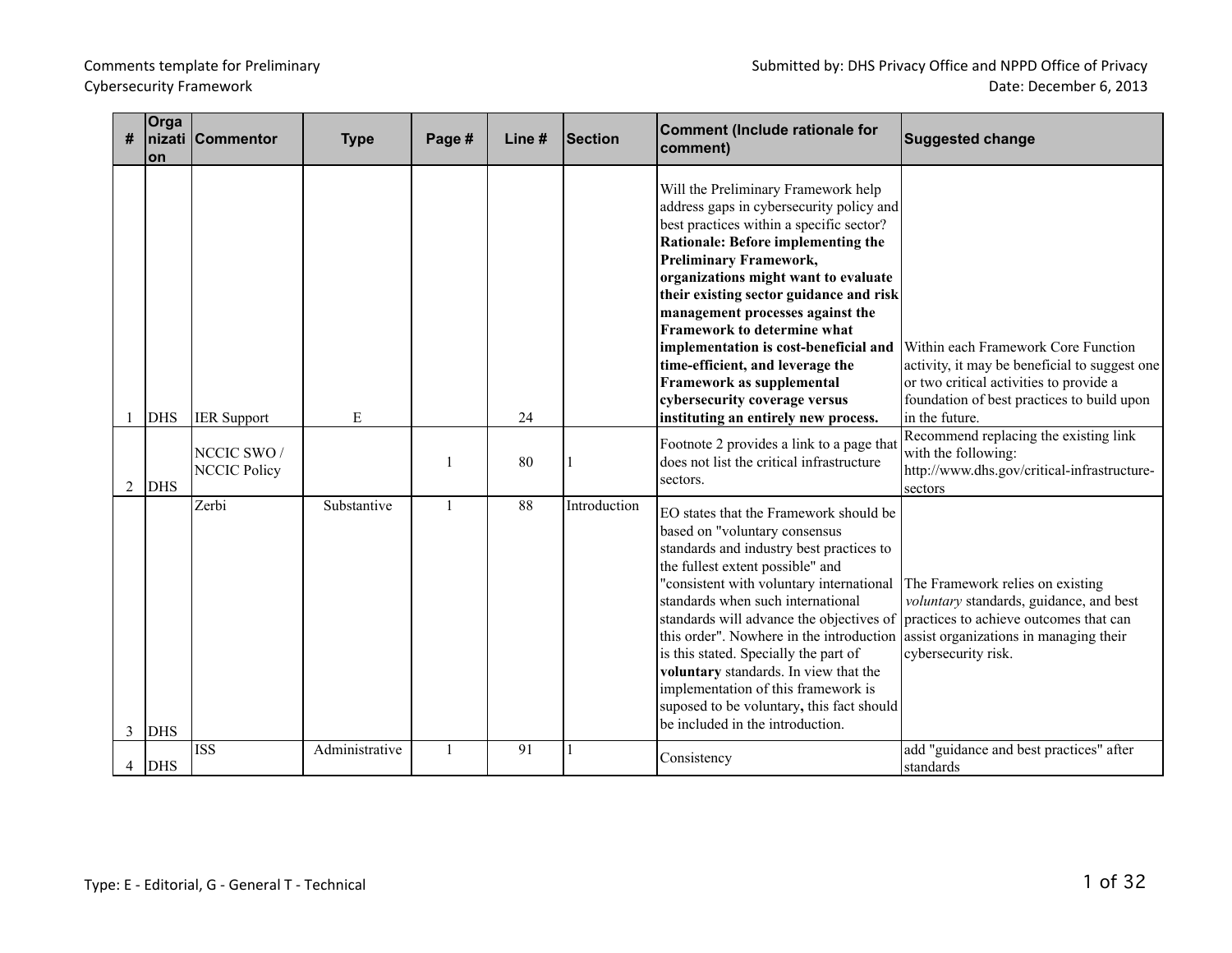|                | <b>Orga</b><br>on | nizati Commentor                   | <b>Type</b>    | Page #       | Line #          | <b>Section</b> | Comment (Include rationale for<br>comment)                                                                                                                                                                                                                                                                                                                                                                                                                                                                                                         | Suggested change                                                                                                                                                                                |
|----------------|-------------------|------------------------------------|----------------|--------------|-----------------|----------------|----------------------------------------------------------------------------------------------------------------------------------------------------------------------------------------------------------------------------------------------------------------------------------------------------------------------------------------------------------------------------------------------------------------------------------------------------------------------------------------------------------------------------------------------------|-------------------------------------------------------------------------------------------------------------------------------------------------------------------------------------------------|
|                | <b>DHS</b>        | <b>IER Support</b>                 | E              |              | 24              |                | Will the Preliminary Framework help<br>address gaps in cybersecurity policy and<br>best practices within a specific sector?<br>Rationale: Before implementing the<br><b>Preliminary Framework,</b><br>organizations might want to evaluate<br>their existing sector guidance and risk<br>management processes against the<br><b>Framework to determine what</b><br>implementation is cost-beneficial and<br>time-efficient, and leverage the<br>Framework as supplemental<br>cybersecurity coverage versus<br>instituting an entirely new process. | Within each Framework Core Function<br>activity, it may be beneficial to suggest one<br>or two critical activities to provide a<br>foundation of best practices to build upon<br>in the future. |
| 2              | DHS               | NCCIC SWO /<br><b>NCCIC Policy</b> |                |              | 80              |                | Footnote 2 provides a link to a page that<br>does not list the critical infrastructure<br>sectors.                                                                                                                                                                                                                                                                                                                                                                                                                                                 | Recommend replacing the existing link<br>with the following:<br>http://www.dhs.gov/critical-infrastructure-<br>sectors                                                                          |
| 3              | <b>DHS</b>        | Zerbi                              | Substantive    | $\mathbf{1}$ | 88              | Introduction   | EO states that the Framework should be<br>based on "voluntary consensus<br>standards and industry best practices to<br>the fullest extent possible" and<br>"consistent with voluntary international<br>standards when such international<br>standards will advance the objectives of<br>this order". Nowhere in the introduction<br>is this stated. Specially the part of<br>voluntary standards. In view that the<br>implementation of this framework is<br>suposed to be voluntary, this fact should<br>be included in the introduction.         | The Framework relies on existing<br>voluntary standards, guidance, and best<br>practices to achieve outcomes that can<br>assist organizations in managing their<br>cybersecurity risk.          |
| $\overline{4}$ | DHS               | <b>ISS</b>                         | Administrative |              | $\overline{91}$ |                | Consistency                                                                                                                                                                                                                                                                                                                                                                                                                                                                                                                                        | add "guidance and best practices" after<br>standards                                                                                                                                            |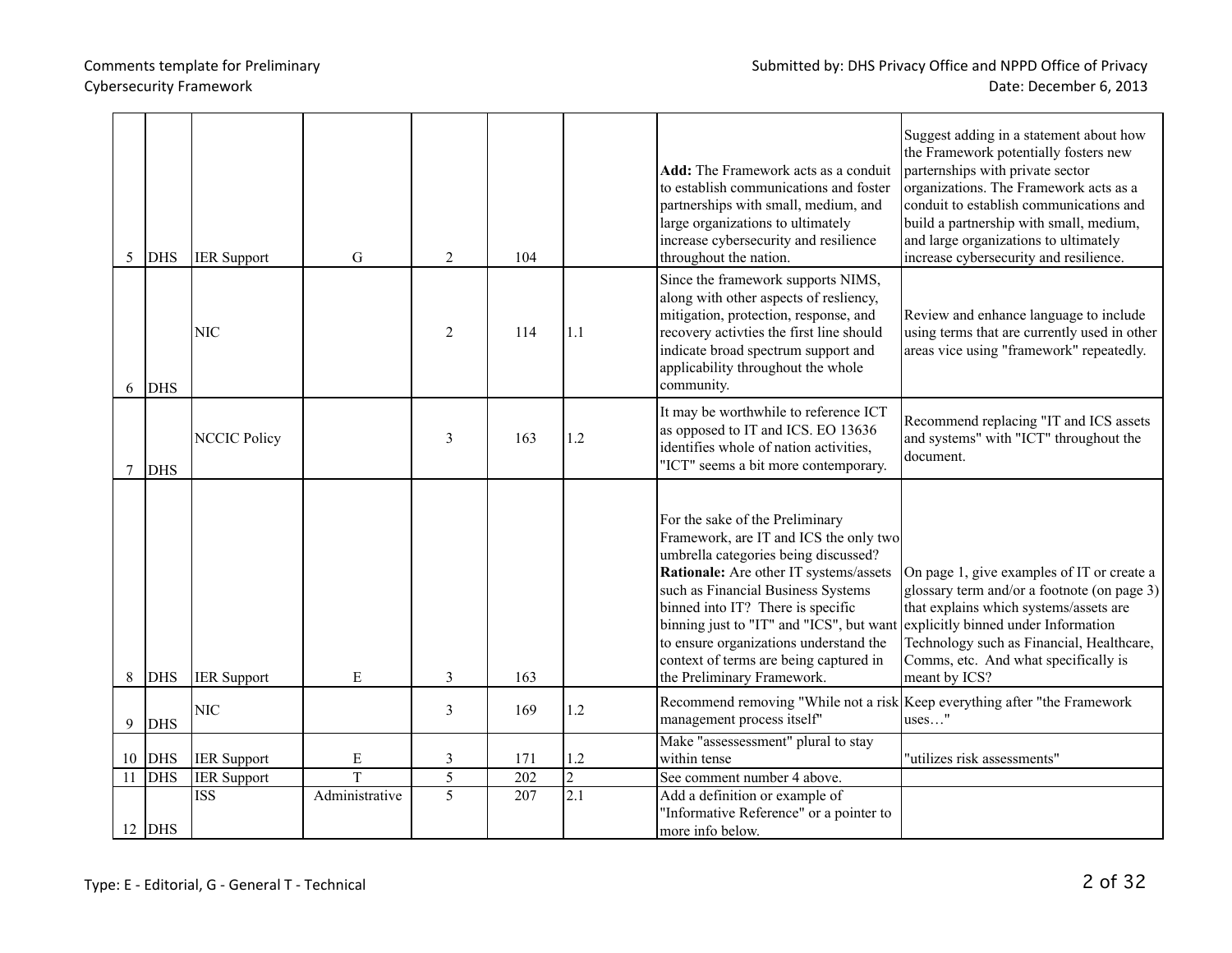| 5              | DHS        | <b>IER</b> Support  | G              | $\overline{2}$ | 104 |                  | Add: The Framework acts as a conduit<br>to establish communications and foster<br>partnerships with small, medium, and<br>large organizations to ultimately<br>increase cybersecurity and resilience<br>throughout the nation.                                                                                                                                                                                                           | Suggest adding in a statement about how<br>the Framework potentially fosters new<br>parternships with private sector<br>organizations. The Framework acts as a<br>conduit to establish communications and<br>build a partnership with small, medium,<br>and large organizations to ultimately<br>increase cybersecurity and resilience. |
|----------------|------------|---------------------|----------------|----------------|-----|------------------|------------------------------------------------------------------------------------------------------------------------------------------------------------------------------------------------------------------------------------------------------------------------------------------------------------------------------------------------------------------------------------------------------------------------------------------|-----------------------------------------------------------------------------------------------------------------------------------------------------------------------------------------------------------------------------------------------------------------------------------------------------------------------------------------|
| 6              | <b>DHS</b> | <b>NIC</b>          |                | $\overline{2}$ | 114 | 1.1              | Since the framework supports NIMS,<br>along with other aspects of resliency,<br>mitigation, protection, response, and<br>recovery activties the first line should<br>indicate broad spectrum support and<br>applicability throughout the whole<br>community.                                                                                                                                                                             | Review and enhance language to include<br>using terms that are currently used in other<br>areas vice using "framework" repeatedly.                                                                                                                                                                                                      |
| $\overline{7}$ | <b>DHS</b> | <b>NCCIC Policy</b> |                | 3              | 163 | 1.2              | It may be worthwhile to reference ICT<br>as opposed to IT and ICS. EO 13636<br>identifies whole of nation activities,<br>"ICT" seems a bit more contemporary.                                                                                                                                                                                                                                                                            | Recommend replacing "IT and ICS assets<br>and systems" with "ICT" throughout the<br>document.                                                                                                                                                                                                                                           |
| 8              | <b>DHS</b> | <b>IER</b> Support  | $\mathbf E$    | 3              | 163 |                  | For the sake of the Preliminary<br>Framework, are IT and ICS the only two<br>umbrella categories being discussed?<br>Rationale: Are other IT systems/assets<br>such as Financial Business Systems<br>binned into IT? There is specific<br>binning just to "IT" and "ICS", but want explicitly binned under Information<br>to ensure organizations understand the<br>context of terms are being captured in<br>the Preliminary Framework. | On page 1, give examples of IT or create a<br>glossary term and/or a footnote (on page 3)<br>that explains which systems/assets are<br>Technology such as Financial, Healthcare,<br>Comms, etc. And what specifically is<br>meant by ICS?                                                                                               |
| 9              | <b>DHS</b> | <b>NIC</b>          |                | 3              | 169 | 1.2              | Recommend removing "While not a risk Keep everything after "the Framework"<br>management process itself"                                                                                                                                                                                                                                                                                                                                 | $uses$ "                                                                                                                                                                                                                                                                                                                                |
| 10             | <b>DHS</b> | <b>IER</b> Support  | $\mathbf E$    | $\mathfrak{Z}$ | 171 | 1.2              | Make "assessessment" plural to stay<br>within tense                                                                                                                                                                                                                                                                                                                                                                                      | "utilizes risk assessments"                                                                                                                                                                                                                                                                                                             |
| 11             | <b>DHS</b> | <b>IER</b> Support  | $\overline{T}$ | $\overline{5}$ | 202 | $\overline{2}$   | See comment number 4 above.                                                                                                                                                                                                                                                                                                                                                                                                              |                                                                                                                                                                                                                                                                                                                                         |
|                | $12$ DHS   | <b>ISS</b>          | Administrative | $\overline{5}$ | 207 | $\overline{2.1}$ | Add a definition or example of<br>"Informative Reference" or a pointer to<br>more info below.                                                                                                                                                                                                                                                                                                                                            |                                                                                                                                                                                                                                                                                                                                         |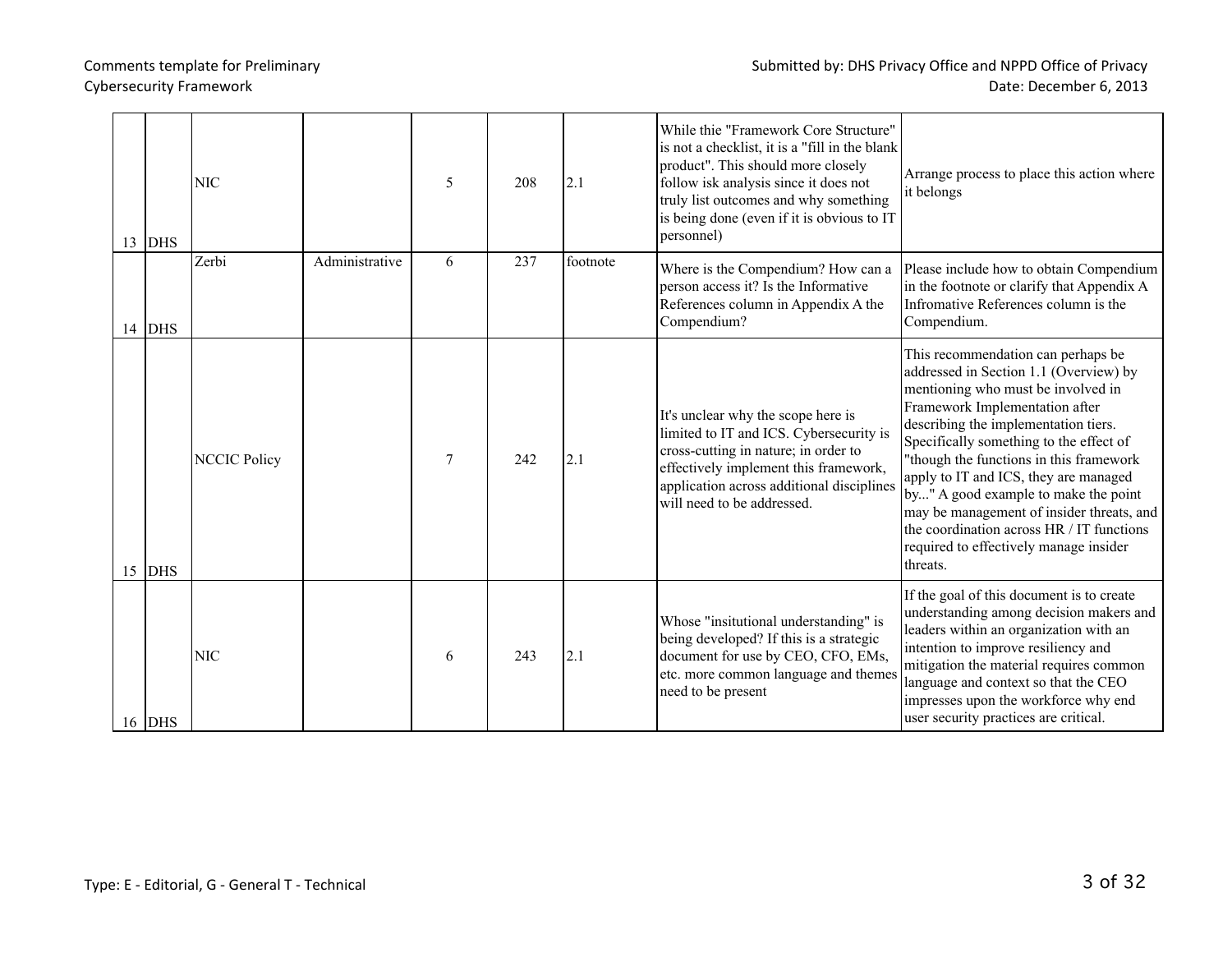|    | $13$ DHS | <b>NIC</b>          |                | 5 | 208 | 2.1      | While thie "Framework Core Structure"<br>is not a checklist, it is a "fill in the blank<br>product". This should more closely<br>follow isk analysis since it does not<br>truly list outcomes and why something<br>is being done (even if it is obvious to IT<br>personnel) | Arrange process to place this action where<br>it belongs                                                                                                                                                                                                                                                                                                                                                                                                                                                            |
|----|----------|---------------------|----------------|---|-----|----------|-----------------------------------------------------------------------------------------------------------------------------------------------------------------------------------------------------------------------------------------------------------------------------|---------------------------------------------------------------------------------------------------------------------------------------------------------------------------------------------------------------------------------------------------------------------------------------------------------------------------------------------------------------------------------------------------------------------------------------------------------------------------------------------------------------------|
| 14 | DHS      | Zerbi               | Administrative | 6 | 237 | footnote | Where is the Compendium? How can a<br>person access it? Is the Informative<br>References column in Appendix A the<br>Compendium?                                                                                                                                            | Please include how to obtain Compendium<br>in the footnote or clarify that Appendix A<br>Infromative References column is the<br>Compendium.                                                                                                                                                                                                                                                                                                                                                                        |
|    | $15$ DHS | <b>NCCIC Policy</b> |                | 7 | 242 | 2.1      | It's unclear why the scope here is<br>limited to IT and ICS. Cybersecurity is<br>cross-cutting in nature; in order to<br>effectively implement this framework,<br>application across additional disciplines<br>will need to be addressed.                                   | This recommendation can perhaps be<br>addressed in Section 1.1 (Overview) by<br>mentioning who must be involved in<br>Framework Implementation after<br>describing the implementation tiers.<br>Specifically something to the effect of<br>"though the functions in this framework<br>apply to IT and ICS, they are managed<br>by" A good example to make the point<br>may be management of insider threats, and<br>the coordination across HR / IT functions<br>required to effectively manage insider<br>threats. |
|    | $16$ DHS | <b>NIC</b>          |                | 6 | 243 | 2.1      | Whose "insitutional understanding" is<br>being developed? If this is a strategic<br>document for use by CEO, CFO, EMs,<br>etc. more common language and themes<br>need to be present                                                                                        | If the goal of this document is to create<br>understanding among decision makers and<br>leaders within an organization with an<br>intention to improve resiliency and<br>mitigation the material requires common<br>language and context so that the CEO<br>impresses upon the workforce why end<br>user security practices are critical.                                                                                                                                                                           |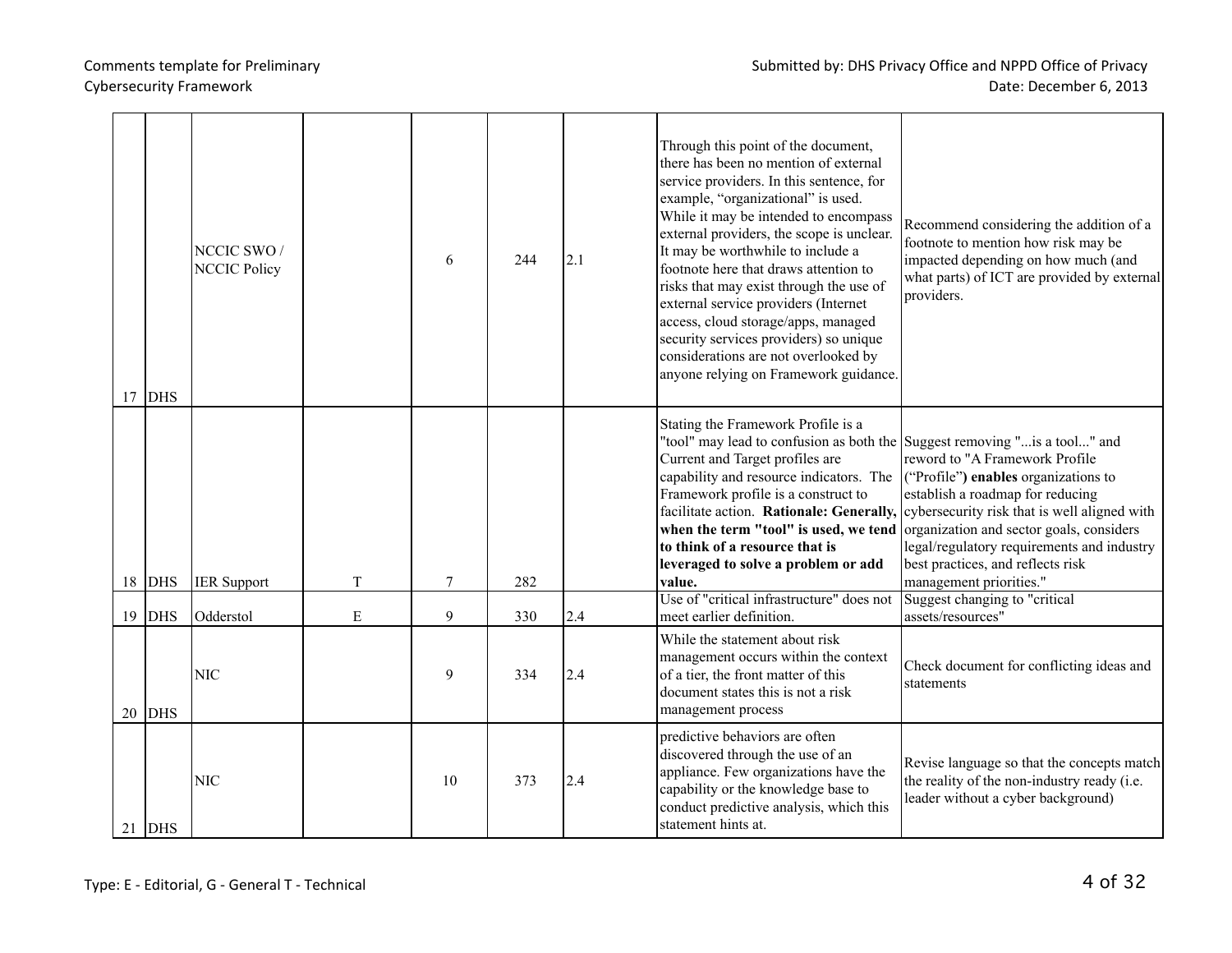|    | $17$ DHS   | NCCIC SWO /<br><b>NCCIC Policy</b> |         | 6      | 244 | 2.1 | Through this point of the document,<br>there has been no mention of external<br>service providers. In this sentence, for<br>example, "organizational" is used.<br>While it may be intended to encompass<br>external providers, the scope is unclear.<br>It may be worthwhile to include a<br>footnote here that draws attention to<br>risks that may exist through the use of<br>external service providers (Internet<br>access, cloud storage/apps, managed<br>security services providers) so unique<br>considerations are not overlooked by<br>anyone relying on Framework guidance. | Recommend considering the addition of a<br>footnote to mention how risk may be<br>impacted depending on how much (and<br>what parts) of ICT are provided by external<br>providers.                                                                                                                                                                                                                  |
|----|------------|------------------------------------|---------|--------|-----|-----|-----------------------------------------------------------------------------------------------------------------------------------------------------------------------------------------------------------------------------------------------------------------------------------------------------------------------------------------------------------------------------------------------------------------------------------------------------------------------------------------------------------------------------------------------------------------------------------------|-----------------------------------------------------------------------------------------------------------------------------------------------------------------------------------------------------------------------------------------------------------------------------------------------------------------------------------------------------------------------------------------------------|
|    | $18$ DHS   | <b>IER Support</b>                 | T       | $\tau$ | 282 |     | Stating the Framework Profile is a<br>"tool" may lead to confusion as both the Suggest removing " is a tool" and<br>Current and Target profiles are<br>capability and resource indicators. The<br>Framework profile is a construct to<br>to think of a resource that is<br>leveraged to solve a problem or add<br>value.                                                                                                                                                                                                                                                                | reword to "A Framework Profile<br>("Profile") enables organizations to<br>establish a roadmap for reducing<br>facilitate action. Rationale: Generally, cybersecurity risk that is well aligned with<br>when the term "tool" is used, we tend organization and sector goals, considers<br>legal/regulatory requirements and industry<br>best practices, and reflects risk<br>management priorities." |
| 19 | <b>DHS</b> | Odderstol                          | $\rm E$ | 9      | 330 | 2.4 | Use of "critical infrastructure" does not<br>meet earlier definition.                                                                                                                                                                                                                                                                                                                                                                                                                                                                                                                   | Suggest changing to "critical"<br>assets/resources"                                                                                                                                                                                                                                                                                                                                                 |
| 20 | DHS        | <b>NIC</b>                         |         | 9      | 334 | 2.4 | While the statement about risk<br>management occurs within the context<br>of a tier, the front matter of this<br>document states this is not a risk<br>management process                                                                                                                                                                                                                                                                                                                                                                                                               | Check document for conflicting ideas and<br>statements                                                                                                                                                                                                                                                                                                                                              |
|    | $21$ DHS   | <b>NIC</b>                         |         | 10     | 373 | 2.4 | predictive behaviors are often<br>discovered through the use of an<br>appliance. Few organizations have the<br>capability or the knowledge base to<br>conduct predictive analysis, which this<br>statement hints at.                                                                                                                                                                                                                                                                                                                                                                    | Revise language so that the concepts match<br>the reality of the non-industry ready (i.e.<br>leader without a cyber background)                                                                                                                                                                                                                                                                     |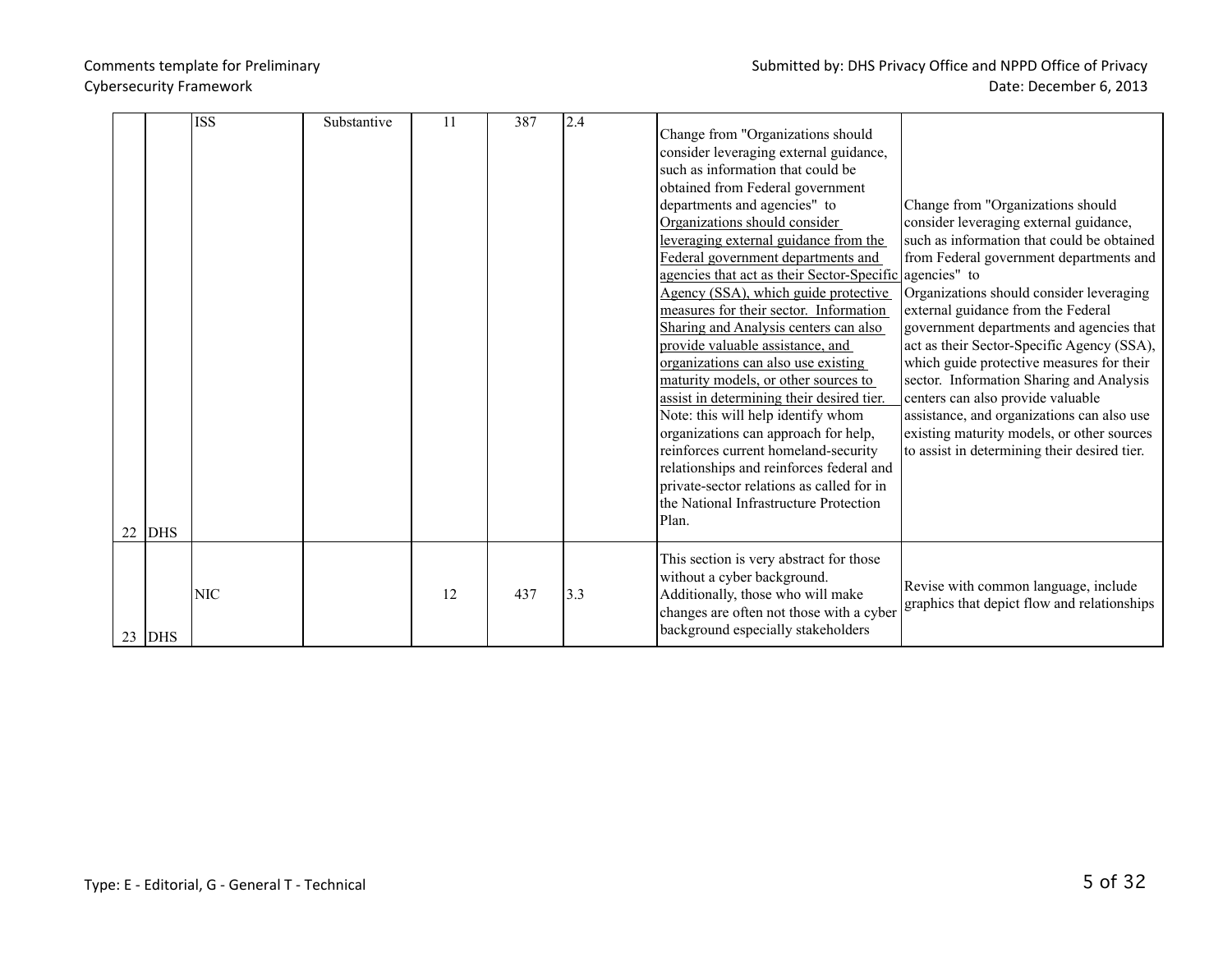| 22<br><b>DHS</b> | <b>ISS</b> | Substantive | 11 | 387 | 2.4 | Change from "Organizations should<br>consider leveraging external guidance,<br>such as information that could be<br>obtained from Federal government<br>departments and agencies" to<br>Organizations should consider<br>leveraging external guidance from the<br>Federal government departments and<br>agencies that act as their Sector-Specific agencies" to<br>Agency (SSA), which guide protective<br>measures for their sector. Information<br>Sharing and Analysis centers can also<br>provide valuable assistance, and<br>organizations can also use existing<br>maturity models, or other sources to<br>assist in determining their desired tier.<br>Note: this will help identify whom<br>organizations can approach for help,<br>reinforces current homeland-security<br>relationships and reinforces federal and<br>private-sector relations as called for in<br>the National Infrastructure Protection<br>Plan. | Change from "Organizations should<br>consider leveraging external guidance,<br>such as information that could be obtained<br>from Federal government departments and<br>Organizations should consider leveraging<br>external guidance from the Federal<br>government departments and agencies that<br>act as their Sector-Specific Agency (SSA),<br>which guide protective measures for their<br>sector. Information Sharing and Analysis<br>centers can also provide valuable<br>assistance, and organizations can also use<br>existing maturity models, or other sources<br>to assist in determining their desired tier. |
|------------------|------------|-------------|----|-----|-----|------------------------------------------------------------------------------------------------------------------------------------------------------------------------------------------------------------------------------------------------------------------------------------------------------------------------------------------------------------------------------------------------------------------------------------------------------------------------------------------------------------------------------------------------------------------------------------------------------------------------------------------------------------------------------------------------------------------------------------------------------------------------------------------------------------------------------------------------------------------------------------------------------------------------------|----------------------------------------------------------------------------------------------------------------------------------------------------------------------------------------------------------------------------------------------------------------------------------------------------------------------------------------------------------------------------------------------------------------------------------------------------------------------------------------------------------------------------------------------------------------------------------------------------------------------------|
| 23 DHS           | <b>NIC</b> |             | 12 | 437 | 3.3 | This section is very abstract for those<br>without a cyber background.<br>Additionally, those who will make<br>changes are often not those with a cyber<br>background especially stakeholders                                                                                                                                                                                                                                                                                                                                                                                                                                                                                                                                                                                                                                                                                                                                | Revise with common language, include<br>graphics that depict flow and relationships                                                                                                                                                                                                                                                                                                                                                                                                                                                                                                                                        |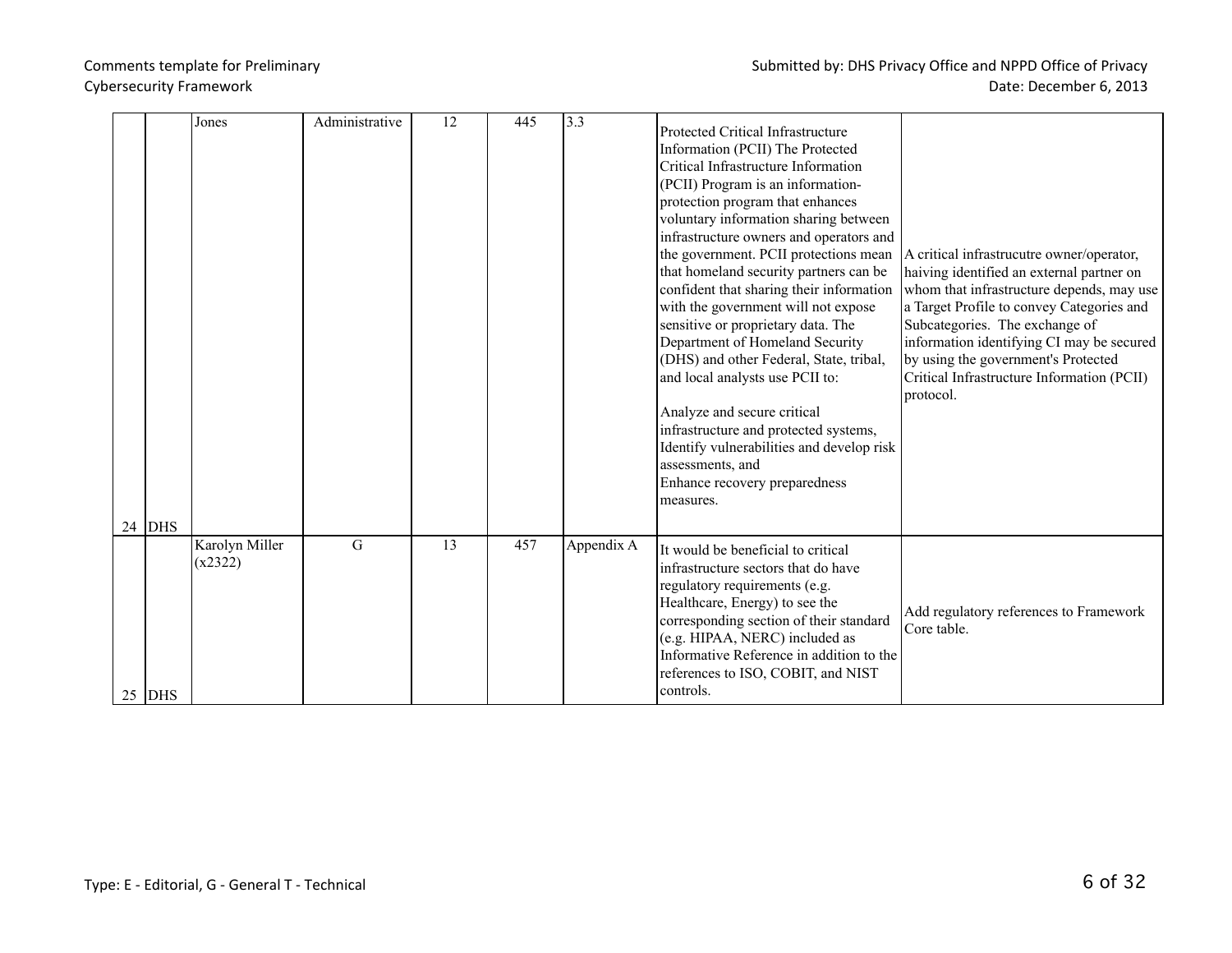|    |     | Jones                     | Administrative | 12 | 445 | 3.3        | Protected Critical Infrastructure<br>Information (PCII) The Protected<br>Critical Infrastructure Information<br>(PCII) Program is an information-<br>protection program that enhances<br>voluntary information sharing between<br>infrastructure owners and operators and<br>the government. PCII protections mean  A critical infrastrucutre owner/operator,<br>that homeland security partners can be<br>confident that sharing their information<br>with the government will not expose<br>sensitive or proprietary data. The<br>Department of Homeland Security<br>(DHS) and other Federal, State, tribal,<br>and local analysts use PCII to:<br>Analyze and secure critical<br>infrastructure and protected systems,<br>Identify vulnerabilities and develop risk<br>assessments, and<br>Enhance recovery preparedness<br>measures. | haiving identified an external partner on<br>whom that infrastructure depends, may use<br>a Target Profile to convey Categories and<br>Subcategories. The exchange of<br>information identifying CI may be secured<br>by using the government's Protected<br>Critical Infrastructure Information (PCII)<br>protocol. |
|----|-----|---------------------------|----------------|----|-----|------------|------------------------------------------------------------------------------------------------------------------------------------------------------------------------------------------------------------------------------------------------------------------------------------------------------------------------------------------------------------------------------------------------------------------------------------------------------------------------------------------------------------------------------------------------------------------------------------------------------------------------------------------------------------------------------------------------------------------------------------------------------------------------------------------------------------------------------------------|----------------------------------------------------------------------------------------------------------------------------------------------------------------------------------------------------------------------------------------------------------------------------------------------------------------------|
| 24 | DHS |                           |                |    |     |            |                                                                                                                                                                                                                                                                                                                                                                                                                                                                                                                                                                                                                                                                                                                                                                                                                                          |                                                                                                                                                                                                                                                                                                                      |
| 25 | DHS | Karolyn Miller<br>(x2322) | G              | 13 | 457 | Appendix A | It would be beneficial to critical<br>infrastructure sectors that do have<br>regulatory requirements (e.g.<br>Healthcare, Energy) to see the<br>corresponding section of their standard<br>(e.g. HIPAA, NERC) included as<br>Informative Reference in addition to the<br>references to ISO, COBIT, and NIST<br>controls.                                                                                                                                                                                                                                                                                                                                                                                                                                                                                                                 | Add regulatory references to Framework<br>Core table.                                                                                                                                                                                                                                                                |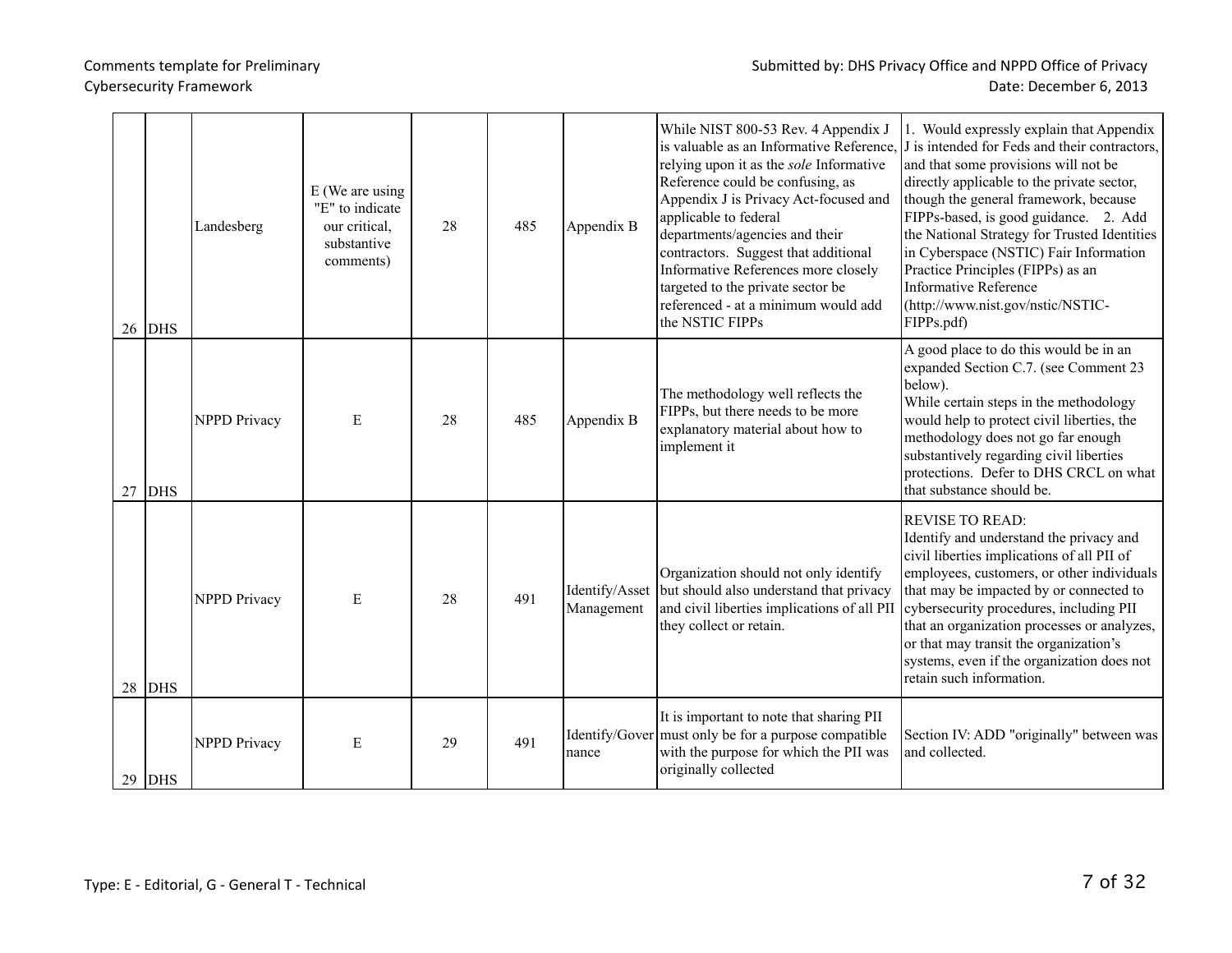### Comments template for Preliminary Submitted by: DHS Privacy Office and NPPD Office of Privacy Date: December 6, 2013

 $\overline{\phantom{0}}$ 

 $\overline{\phantom{0}}$ 

|    | $26$ DHS | Landesberg   | E (We are using<br>"E" to indicate<br>our critical,<br>substantive<br>comments) | 28 | 485 | Appendix B                   | While NIST 800-53 Rev. 4 Appendix J<br>is valuable as an Informative Reference.<br>relying upon it as the <i>sole</i> Informative<br>Reference could be confusing, as<br>Appendix J is Privacy Act-focused and<br>applicable to federal<br>departments/agencies and their<br>contractors. Suggest that additional<br>Informative References more closely<br>targeted to the private sector be<br>referenced - at a minimum would add<br>the NSTIC FIPPs | 1. Would expressly explain that Appendix<br>J is intended for Feds and their contractors,<br>and that some provisions will not be<br>directly applicable to the private sector,<br>though the general framework, because<br>FIPPs-based, is good guidance. 2. Add<br>the National Strategy for Trusted Identities<br>in Cyberspace (NSTIC) Fair Information<br>Practice Principles (FIPPs) as an<br><b>Informative Reference</b><br>(http://www.nist.gov/nstic/NSTIC-<br>FIPPs.pdf) |
|----|----------|--------------|---------------------------------------------------------------------------------|----|-----|------------------------------|---------------------------------------------------------------------------------------------------------------------------------------------------------------------------------------------------------------------------------------------------------------------------------------------------------------------------------------------------------------------------------------------------------------------------------------------------------|-------------------------------------------------------------------------------------------------------------------------------------------------------------------------------------------------------------------------------------------------------------------------------------------------------------------------------------------------------------------------------------------------------------------------------------------------------------------------------------|
| 27 | DHS      | NPPD Privacy | E                                                                               | 28 | 485 | Appendix B                   | The methodology well reflects the<br>FIPPs, but there needs to be more<br>explanatory material about how to<br>implement it                                                                                                                                                                                                                                                                                                                             | A good place to do this would be in an<br>expanded Section C.7. (see Comment 23<br>below).<br>While certain steps in the methodology<br>would help to protect civil liberties, the<br>methodology does not go far enough<br>substantively regarding civil liberties<br>protections. Defer to DHS CRCL on what<br>that substance should be.                                                                                                                                          |
|    | $28$ DHS | NPPD Privacy | E                                                                               | 28 | 491 | Identify/Asset<br>Management | Organization should not only identify<br>but should also understand that privacy<br>and civil liberties implications of all PII<br>they collect or retain.                                                                                                                                                                                                                                                                                              | <b>REVISE TO READ:</b><br>Identify and understand the privacy and<br>civil liberties implications of all PII of<br>employees, customers, or other individuals<br>that may be impacted by or connected to<br>cybersecurity procedures, including PII<br>that an organization processes or analyzes,<br>or that may transit the organization's<br>systems, even if the organization does not<br>retain such information.                                                              |
|    | $29$ DHS | NPPD Privacy | E                                                                               | 29 | 491 | nance                        | It is important to note that sharing PII<br>Identify/Gover must only be for a purpose compatible<br>with the purpose for which the PII was<br>originally collected                                                                                                                                                                                                                                                                                      | Section IV: ADD "originally" between was<br>and collected.                                                                                                                                                                                                                                                                                                                                                                                                                          |

 $\overline{\phantom{0}}$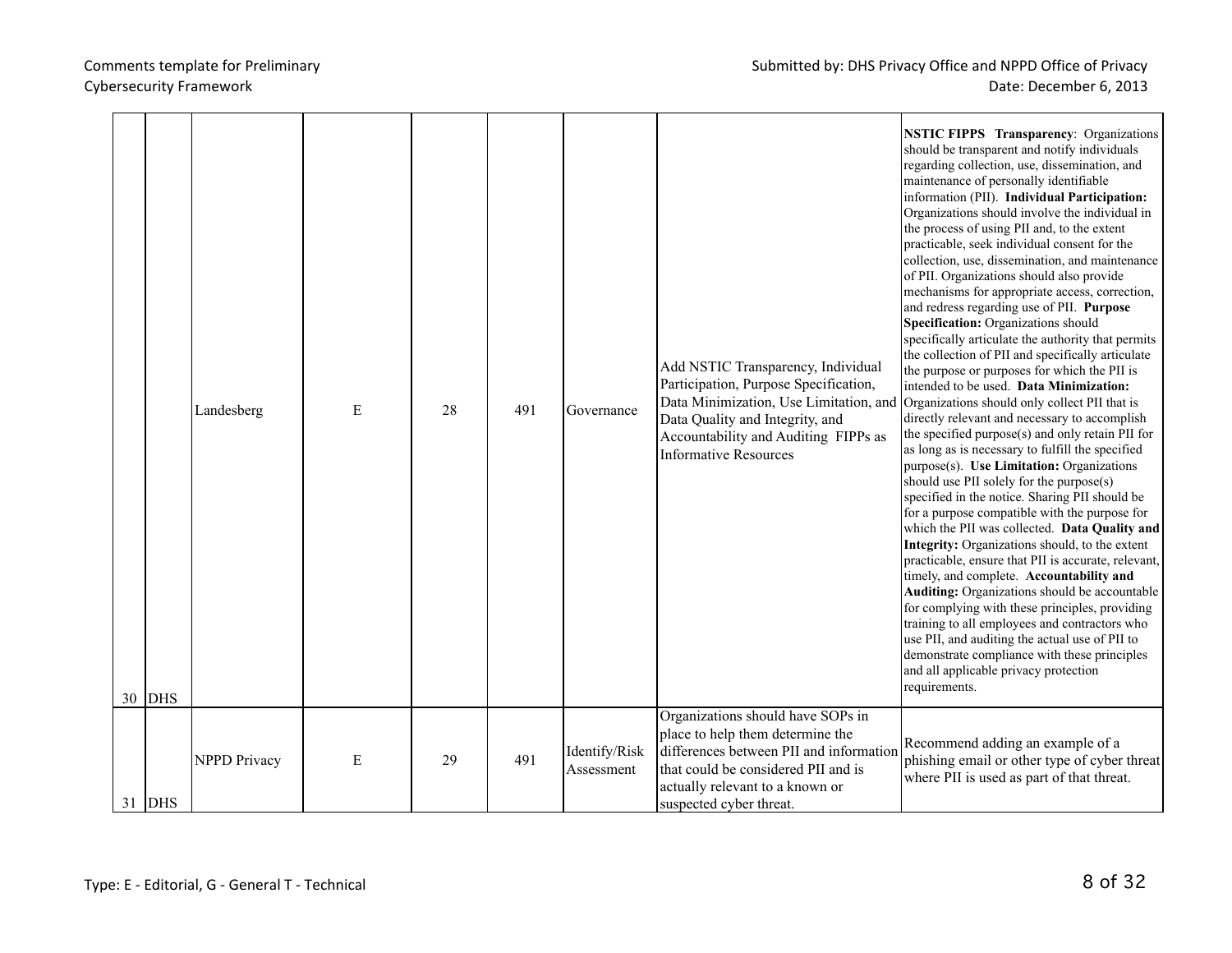$\overline{\phantom{0}}$ 

 $\overline{\phantom{0}}$ 

| 30 | DHS | Landesberg   | ${\bf E}$ | 28 | 491 | Governance                  | Add NSTIC Transparency, Individual<br>Participation, Purpose Specification,<br>Data Minimization, Use Limitation, and<br>Data Quality and Integrity, and<br>Accountability and Auditing FIPPs as<br><b>Informative Resources</b> | <b>NSTIC FIPPS Transparency: Organizations</b><br>should be transparent and notify individuals<br>regarding collection, use, dissemination, and<br>maintenance of personally identifiable<br>information (PII). Individual Participation:<br>Organizations should involve the individual in<br>the process of using PII and, to the extent<br>practicable, seek individual consent for the<br>collection, use, dissemination, and maintenance<br>of PII. Organizations should also provide<br>mechanisms for appropriate access, correction,<br>and redress regarding use of PII. Purpose<br>Specification: Organizations should<br>specifically articulate the authority that permits<br>the collection of PII and specifically articulate<br>the purpose or purposes for which the PII is<br>intended to be used. Data Minimization:<br>Organizations should only collect PII that is<br>directly relevant and necessary to accomplish<br>the specified purpose(s) and only retain PII for<br>as long as is necessary to fulfill the specified<br>purpose(s). Use Limitation: Organizations<br>should use PII solely for the purpose(s)<br>specified in the notice. Sharing PII should be<br>for a purpose compatible with the purpose for<br>which the PII was collected. Data Quality and<br>Integrity: Organizations should, to the extent<br>practicable, ensure that PII is accurate, relevant,<br>timely, and complete. Accountability and<br>Auditing: Organizations should be accountable<br>for complying with these principles, providing<br>training to all employees and contractors who<br>use PII, and auditing the actual use of PII to<br>demonstrate compliance with these principles<br>and all applicable privacy protection<br>requirements. |
|----|-----|--------------|-----------|----|-----|-----------------------------|----------------------------------------------------------------------------------------------------------------------------------------------------------------------------------------------------------------------------------|--------------------------------------------------------------------------------------------------------------------------------------------------------------------------------------------------------------------------------------------------------------------------------------------------------------------------------------------------------------------------------------------------------------------------------------------------------------------------------------------------------------------------------------------------------------------------------------------------------------------------------------------------------------------------------------------------------------------------------------------------------------------------------------------------------------------------------------------------------------------------------------------------------------------------------------------------------------------------------------------------------------------------------------------------------------------------------------------------------------------------------------------------------------------------------------------------------------------------------------------------------------------------------------------------------------------------------------------------------------------------------------------------------------------------------------------------------------------------------------------------------------------------------------------------------------------------------------------------------------------------------------------------------------------------------------------------------------------------------------------------------------------|
| 31 | DHS | NPPD Privacy | E         | 29 | 491 | Identify/Risk<br>Assessment | Organizations should have SOPs in<br>place to help them determine the<br>differences between PII and information<br>that could be considered PII and is<br>actually relevant to a known or<br>suspected cyber threat.            | Recommend adding an example of a<br>phishing email or other type of cyber threat<br>where PII is used as part of that threat.                                                                                                                                                                                                                                                                                                                                                                                                                                                                                                                                                                                                                                                                                                                                                                                                                                                                                                                                                                                                                                                                                                                                                                                                                                                                                                                                                                                                                                                                                                                                                                                                                                      |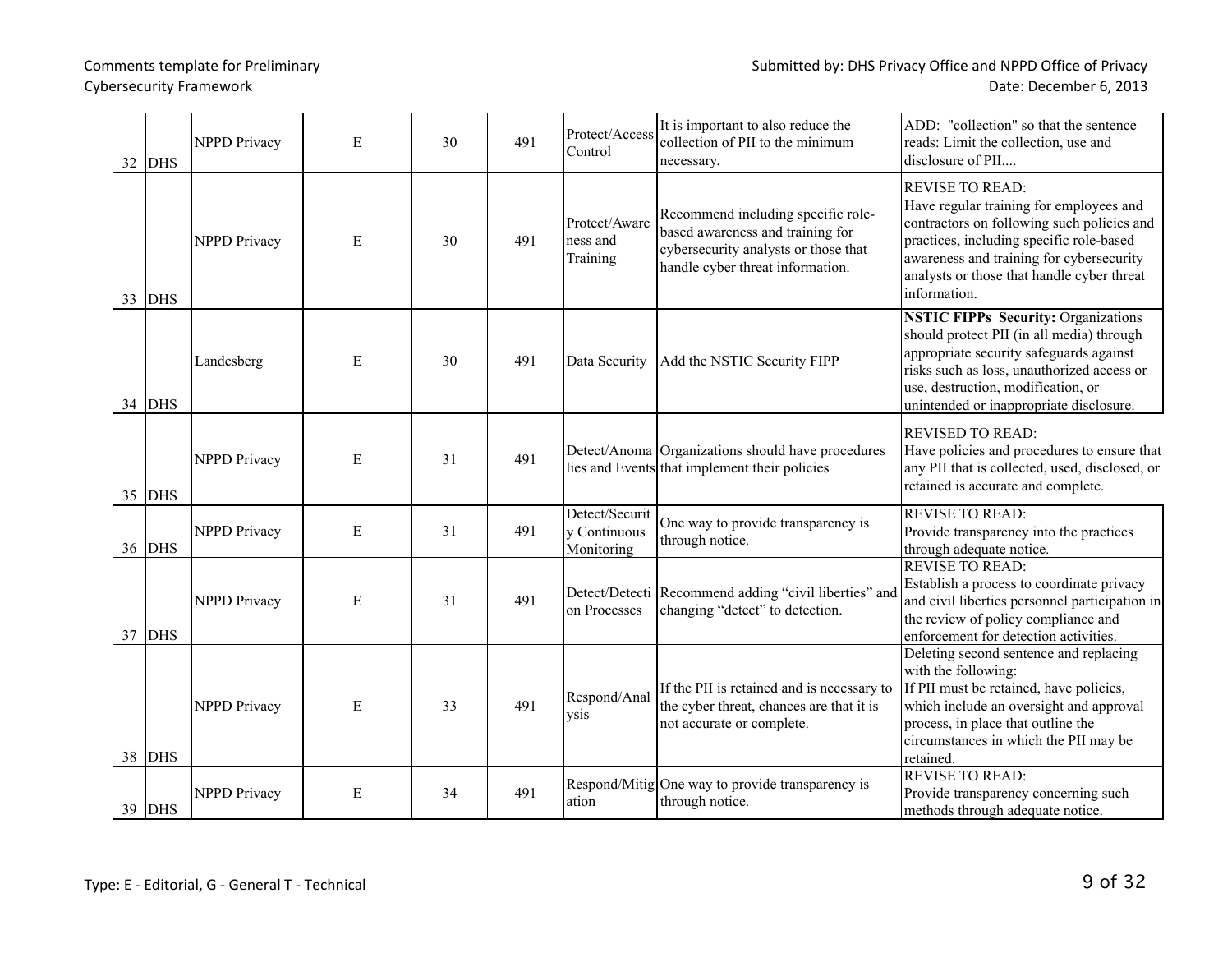| 32 | DHS      | NPPD Privacy        | E | 30 | 491 | Protect/Access<br>Control                    | It is important to also reduce the<br>collection of PII to the minimum<br>necessary.                                                               | ADD: "collection" so that the sentence<br>reads: Limit the collection, use and<br>disclosure of PII                                                                                                                                                                   |
|----|----------|---------------------|---|----|-----|----------------------------------------------|----------------------------------------------------------------------------------------------------------------------------------------------------|-----------------------------------------------------------------------------------------------------------------------------------------------------------------------------------------------------------------------------------------------------------------------|
|    | 33 DHS   | <b>NPPD Privacy</b> | E | 30 | 491 | Protect/Aware<br>ness and<br>Training        | Recommend including specific role-<br>based awareness and training for<br>cybersecurity analysts or those that<br>handle cyber threat information. | <b>REVISE TO READ:</b><br>Have regular training for employees and<br>contractors on following such policies and<br>practices, including specific role-based<br>awareness and training for cybersecurity<br>analysts or those that handle cyber threat<br>information. |
|    | 34 DHS   | Landesberg          | E | 30 | 491 | Data Security                                | Add the NSTIC Security FIPP                                                                                                                        | <b>NSTIC FIPPs Security: Organizations</b><br>should protect PII (in all media) through<br>appropriate security safeguards against<br>risks such as loss, unauthorized access or<br>use, destruction, modification, or<br>unintended or inappropriate disclosure.     |
|    | 35 DHS   | NPPD Privacy        | E | 31 | 491 |                                              | Detect/Anoma Organizations should have procedures<br>lies and Events that implement their policies                                                 | <b>REVISED TO READ:</b><br>Have policies and procedures to ensure that<br>any PII that is collected, used, disclosed, or<br>retained is accurate and complete.                                                                                                        |
|    | 36 DHS   | NPPD Privacy        | E | 31 | 491 | Detect/Securit<br>y Continuous<br>Monitoring | One way to provide transparency is<br>through notice.                                                                                              | <b>REVISE TO READ:</b><br>Provide transparency into the practices<br>through adequate notice.                                                                                                                                                                         |
| 37 | DHS      | NPPD Privacy        | E | 31 | 491 | on Processes                                 | Detect/Detecti Recommend adding "civil liberties" and<br>changing "detect" to detection.                                                           | <b>REVISE TO READ:</b><br>Establish a process to coordinate privacy<br>and civil liberties personnel participation in<br>the review of policy compliance and<br>enforcement for detection activities.                                                                 |
|    | 38 DHS   | NPPD Privacy        | E | 33 | 491 | Respond/Anal<br>ysis                         | If the PII is retained and is necessary to<br>the cyber threat, chances are that it is<br>not accurate or complete.                                | Deleting second sentence and replacing<br>with the following:<br>If PII must be retained, have policies,<br>which include an oversight and approval<br>process, in place that outline the<br>circumstances in which the PII may be<br>retained.                       |
|    | $39$ DHS | NPPD Privacy        | E | 34 | 491 | lation                                       | Respond/Mitig One way to provide transparency is<br>through notice.                                                                                | <b>REVISE TO READ:</b><br>Provide transparency concerning such<br>methods through adequate notice.                                                                                                                                                                    |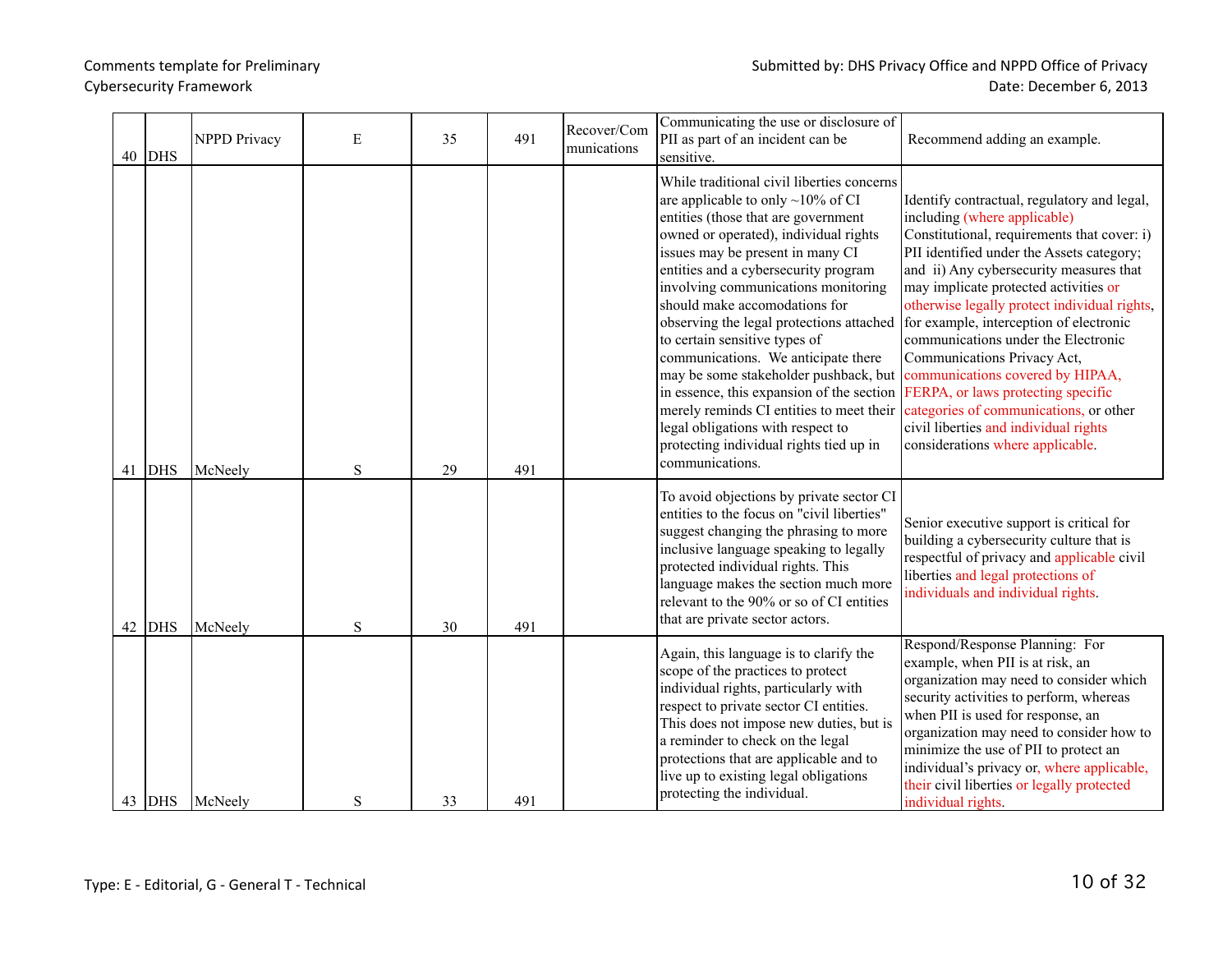| $40$ DHS | <b>NPPD Privacy</b> | E | 35 | 491 | Recover/Com<br>munications | Communicating the use or disclosure of<br>PII as part of an incident can be<br>sensitive.                                                                                                                                                                                                                                                                                                                                                                                                                                                                                                                                                                                                                                                              | Recommend adding an example.                                                                                                                                                                                                                                                                                                                                                                                                                                                                                                                        |
|----------|---------------------|---|----|-----|----------------------------|--------------------------------------------------------------------------------------------------------------------------------------------------------------------------------------------------------------------------------------------------------------------------------------------------------------------------------------------------------------------------------------------------------------------------------------------------------------------------------------------------------------------------------------------------------------------------------------------------------------------------------------------------------------------------------------------------------------------------------------------------------|-----------------------------------------------------------------------------------------------------------------------------------------------------------------------------------------------------------------------------------------------------------------------------------------------------------------------------------------------------------------------------------------------------------------------------------------------------------------------------------------------------------------------------------------------------|
| $41$ DHS | McNeely             | S | 29 | 491 |                            | While traditional civil liberties concerns<br>are applicable to only $\sim$ 10% of CI<br>entities (those that are government<br>owned or operated), individual rights<br>issues may be present in many CI<br>entities and a cybersecurity program<br>involving communications monitoring<br>should make accomodations for<br>observing the legal protections attached<br>to certain sensitive types of<br>communications. We anticipate there<br>may be some stakeholder pushback, but communications covered by HIPAA,<br>in essence, this expansion of the section FERPA, or laws protecting specific<br>merely reminds CI entities to meet their<br>legal obligations with respect to<br>protecting individual rights tied up in<br>communications. | Identify contractual, regulatory and legal,<br>including (where applicable)<br>Constitutional, requirements that cover: i)<br>PII identified under the Assets category;<br>and ii) Any cybersecurity measures that<br>may implicate protected activities or<br>otherwise legally protect individual rights,<br>for example, interception of electronic<br>communications under the Electronic<br>Communications Privacy Act,<br>categories of communications, or other<br>civil liberties and individual rights<br>considerations where applicable. |
| $42$ DHS | McNeely             | S | 30 | 491 |                            | To avoid objections by private sector CI<br>entities to the focus on "civil liberties"<br>suggest changing the phrasing to more<br>inclusive language speaking to legally<br>protected individual rights. This<br>language makes the section much more<br>relevant to the 90% or so of CI entities<br>that are private sector actors.                                                                                                                                                                                                                                                                                                                                                                                                                  | Senior executive support is critical for<br>building a cybersecurity culture that is<br>respectful of privacy and applicable civil<br>liberties and legal protections of<br>individuals and individual rights.                                                                                                                                                                                                                                                                                                                                      |
| $43$ DHS | McNeely             | S | 33 | 491 |                            | Again, this language is to clarify the<br>scope of the practices to protect<br>individual rights, particularly with<br>respect to private sector CI entities.<br>This does not impose new duties, but is<br>a reminder to check on the legal<br>protections that are applicable and to<br>live up to existing legal obligations<br>protecting the individual.                                                                                                                                                                                                                                                                                                                                                                                          | Respond/Response Planning: For<br>example, when PII is at risk, an<br>organization may need to consider which<br>security activities to perform, whereas<br>when PII is used for response, an<br>organization may need to consider how to<br>minimize the use of PII to protect an<br>individual's privacy or, where applicable,<br>their civil liberties or legally protected<br>individual rights.                                                                                                                                                |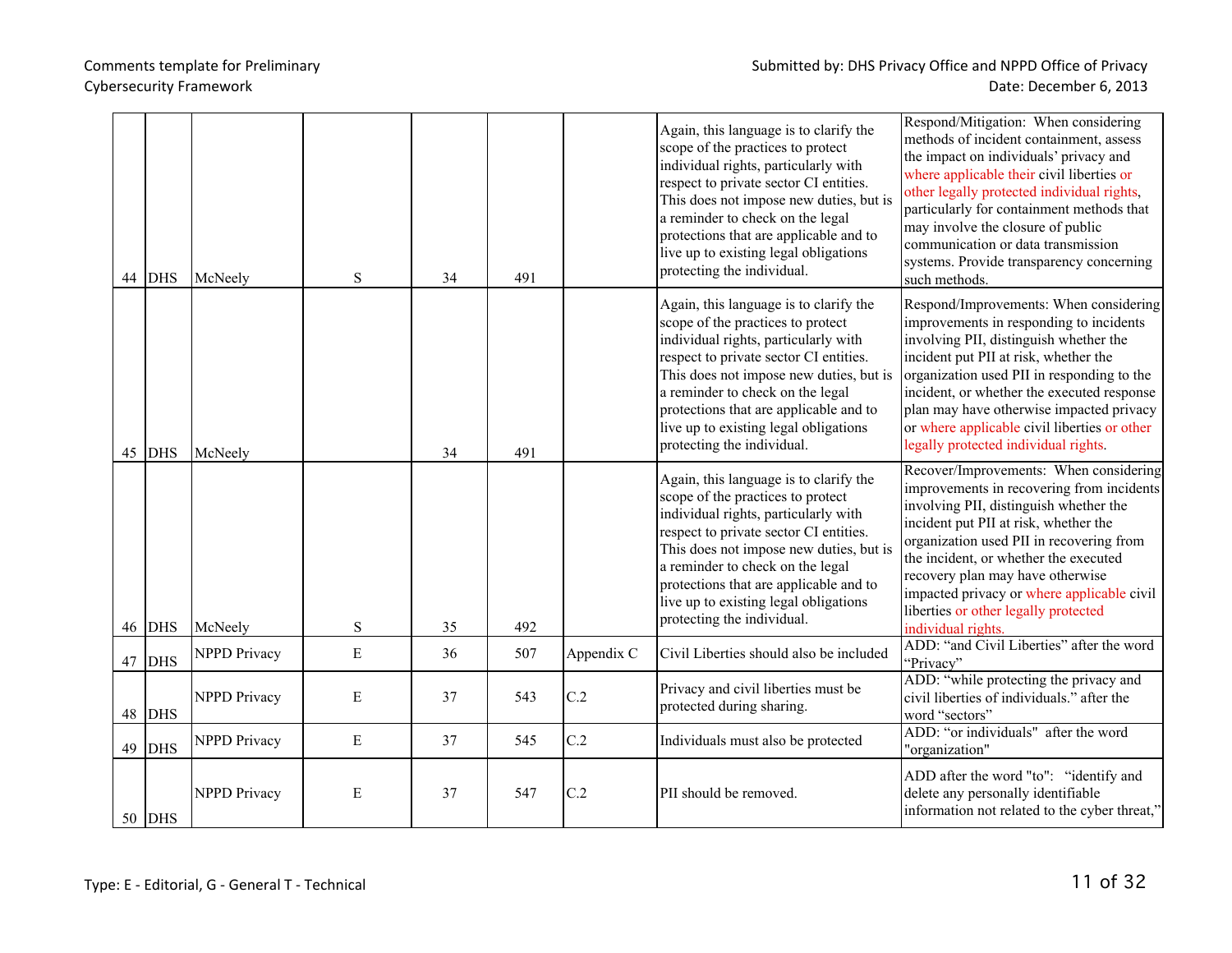| 44     | DHS      | McNeely             | $\mathbf S$ | 34 | 491 |            | Again, this language is to clarify the<br>scope of the practices to protect<br>individual rights, particularly with<br>respect to private sector CI entities.<br>This does not impose new duties, but is<br>a reminder to check on the legal<br>protections that are applicable and to<br>live up to existing legal obligations<br>protecting the individual. | Respond/Mitigation: When considering<br>methods of incident containment, assess<br>the impact on individuals' privacy and<br>where applicable their civil liberties or<br>other legally protected individual rights,<br>particularly for containment methods that<br>may involve the closure of public<br>communication or data transmission<br>systems. Provide transparency concerning<br>such methods.   |
|--------|----------|---------------------|-------------|----|-----|------------|---------------------------------------------------------------------------------------------------------------------------------------------------------------------------------------------------------------------------------------------------------------------------------------------------------------------------------------------------------------|-------------------------------------------------------------------------------------------------------------------------------------------------------------------------------------------------------------------------------------------------------------------------------------------------------------------------------------------------------------------------------------------------------------|
|        | $45$ DHS | McNeely             |             | 34 | 491 |            | Again, this language is to clarify the<br>scope of the practices to protect<br>individual rights, particularly with<br>respect to private sector CI entities.<br>This does not impose new duties, but is<br>a reminder to check on the legal<br>protections that are applicable and to<br>live up to existing legal obligations<br>protecting the individual. | Respond/Improvements: When considering<br>improvements in responding to incidents<br>involving PII, distinguish whether the<br>incident put PII at risk, whether the<br>organization used PII in responding to the<br>incident, or whether the executed response<br>plan may have otherwise impacted privacy<br>or where applicable civil liberties or other<br>legally protected individual rights.        |
|        | 46 DHS   | McNeely             | ${\bf S}$   | 35 | 492 |            | Again, this language is to clarify the<br>scope of the practices to protect<br>individual rights, particularly with<br>respect to private sector CI entities.<br>This does not impose new duties, but is<br>a reminder to check on the legal<br>protections that are applicable and to<br>live up to existing legal obligations<br>protecting the individual. | Recover/Improvements: When considering<br>improvements in recovering from incidents<br>involving PII, distinguish whether the<br>incident put PII at risk, whether the<br>organization used PII in recovering from<br>the incident, or whether the executed<br>recovery plan may have otherwise<br>impacted privacy or where applicable civil<br>liberties or other legally protected<br>individual rights. |
| $47\,$ | DHS      | NPPD Privacy        | $\mathbf E$ | 36 | 507 | Appendix C | Civil Liberties should also be included                                                                                                                                                                                                                                                                                                                       | ADD: "and Civil Liberties" after the word<br>"Privacy"                                                                                                                                                                                                                                                                                                                                                      |
|        | 48 DHS   | NPPD Privacy        | ${\bf E}$   | 37 | 543 | C.2        | Privacy and civil liberties must be<br>protected during sharing.                                                                                                                                                                                                                                                                                              | ADD: "while protecting the privacy and<br>civil liberties of individuals." after the<br>word "sectors"                                                                                                                                                                                                                                                                                                      |
| 49     | DHS      | NPPD Privacy        | ${\bf E}$   | 37 | 545 | C.2        | Individuals must also be protected                                                                                                                                                                                                                                                                                                                            | ADD: "or individuals" after the word<br>"organization"                                                                                                                                                                                                                                                                                                                                                      |
|        | 50 DHS   | <b>NPPD Privacy</b> | ${\bf E}$   | 37 | 547 | C.2        | PII should be removed.                                                                                                                                                                                                                                                                                                                                        | ADD after the word "to": "identify and<br>delete any personally identifiable<br>information not related to the cyber threat,"                                                                                                                                                                                                                                                                               |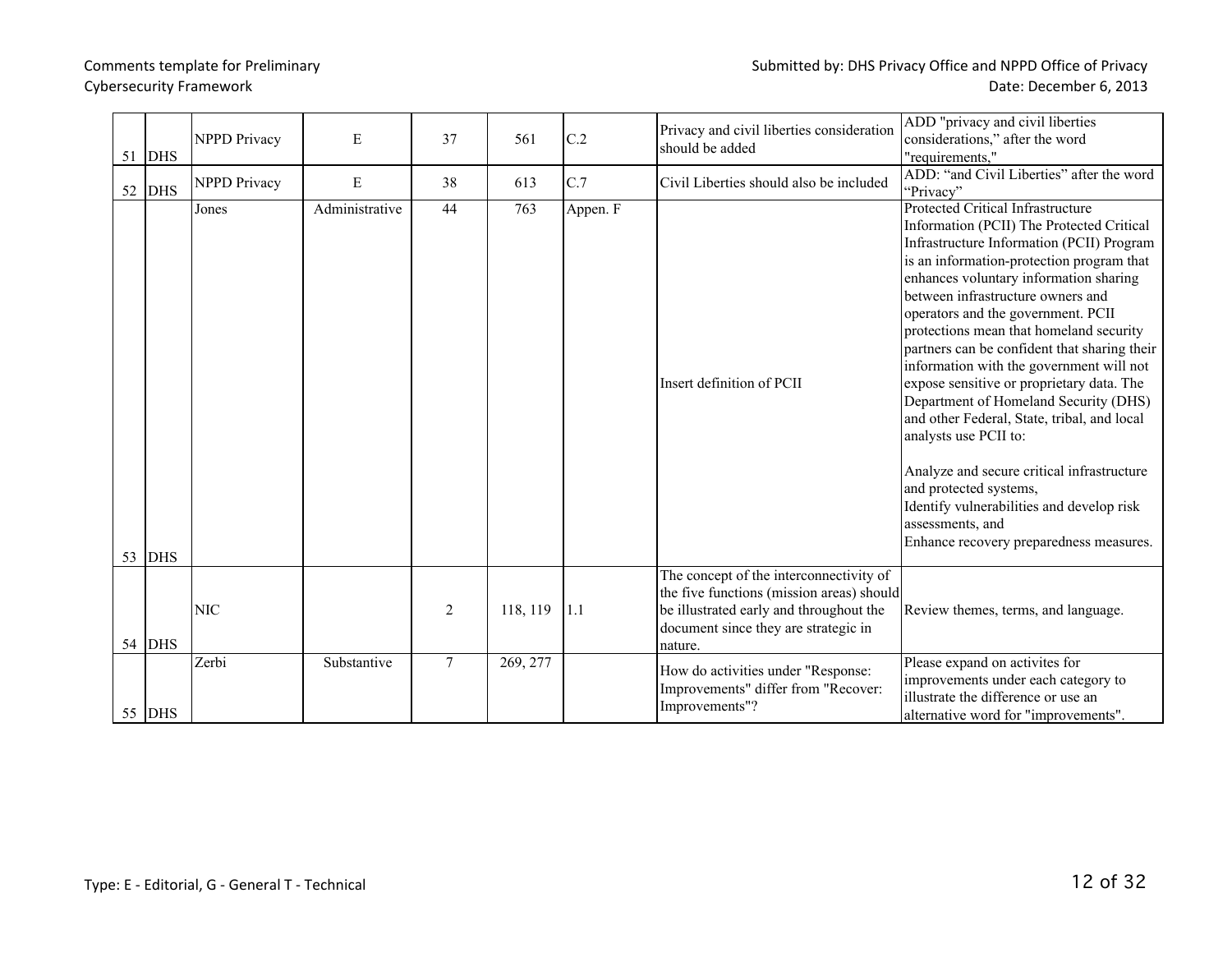|    |          | <b>NPPD Privacy</b> | E              | 37     | 561      | C.2      | Privacy and civil liberties consideration                                                                                                                                          | ADD "privacy and civil liberties<br>considerations," after the word                                                                                                                                                                                                                                                                                                                                                                                                                                                                                                                                                                                                                                                                                                                           |
|----|----------|---------------------|----------------|--------|----------|----------|------------------------------------------------------------------------------------------------------------------------------------------------------------------------------------|-----------------------------------------------------------------------------------------------------------------------------------------------------------------------------------------------------------------------------------------------------------------------------------------------------------------------------------------------------------------------------------------------------------------------------------------------------------------------------------------------------------------------------------------------------------------------------------------------------------------------------------------------------------------------------------------------------------------------------------------------------------------------------------------------|
|    | $51$ DHS |                     |                |        |          |          | should be added                                                                                                                                                                    | "requirements,"                                                                                                                                                                                                                                                                                                                                                                                                                                                                                                                                                                                                                                                                                                                                                                               |
| 52 | DHS      | NPPD Privacy        | $\mathbf E$    | 38     | 613      | C.7      | Civil Liberties should also be included                                                                                                                                            | ADD: "and Civil Liberties" after the word<br>"Privacy"                                                                                                                                                                                                                                                                                                                                                                                                                                                                                                                                                                                                                                                                                                                                        |
|    | 53 DHS   | Jones               | Administrative | 44     | 763      | Appen. F | Insert definition of PCII                                                                                                                                                          | <b>Protected Critical Infrastructure</b><br>Information (PCII) The Protected Critical<br>Infrastructure Information (PCII) Program<br>is an information-protection program that<br>enhances voluntary information sharing<br>between infrastructure owners and<br>operators and the government. PCII<br>protections mean that homeland security<br>partners can be confident that sharing their<br>information with the government will not<br>expose sensitive or proprietary data. The<br>Department of Homeland Security (DHS)<br>and other Federal, State, tribal, and local<br>analysts use PCII to:<br>Analyze and secure critical infrastructure<br>and protected systems,<br>Identify vulnerabilities and develop risk<br>assessments, and<br>Enhance recovery preparedness measures. |
|    | 54 DHS   | <b>NIC</b>          |                | 2      | 118, 119 | 1.1      | The concept of the interconnectivity of<br>the five functions (mission areas) should<br>be illustrated early and throughout the<br>document since they are strategic in<br>nature. | Review themes, terms, and language.                                                                                                                                                                                                                                                                                                                                                                                                                                                                                                                                                                                                                                                                                                                                                           |
|    | 55 DHS   | Zerbi               | Substantive    | $\tau$ | 269, 277 |          | How do activities under "Response:<br>Improvements" differ from "Recover:<br>Improvements"?                                                                                        | Please expand on activites for<br>improvements under each category to<br>illustrate the difference or use an<br>alternative word for "improvements".                                                                                                                                                                                                                                                                                                                                                                                                                                                                                                                                                                                                                                          |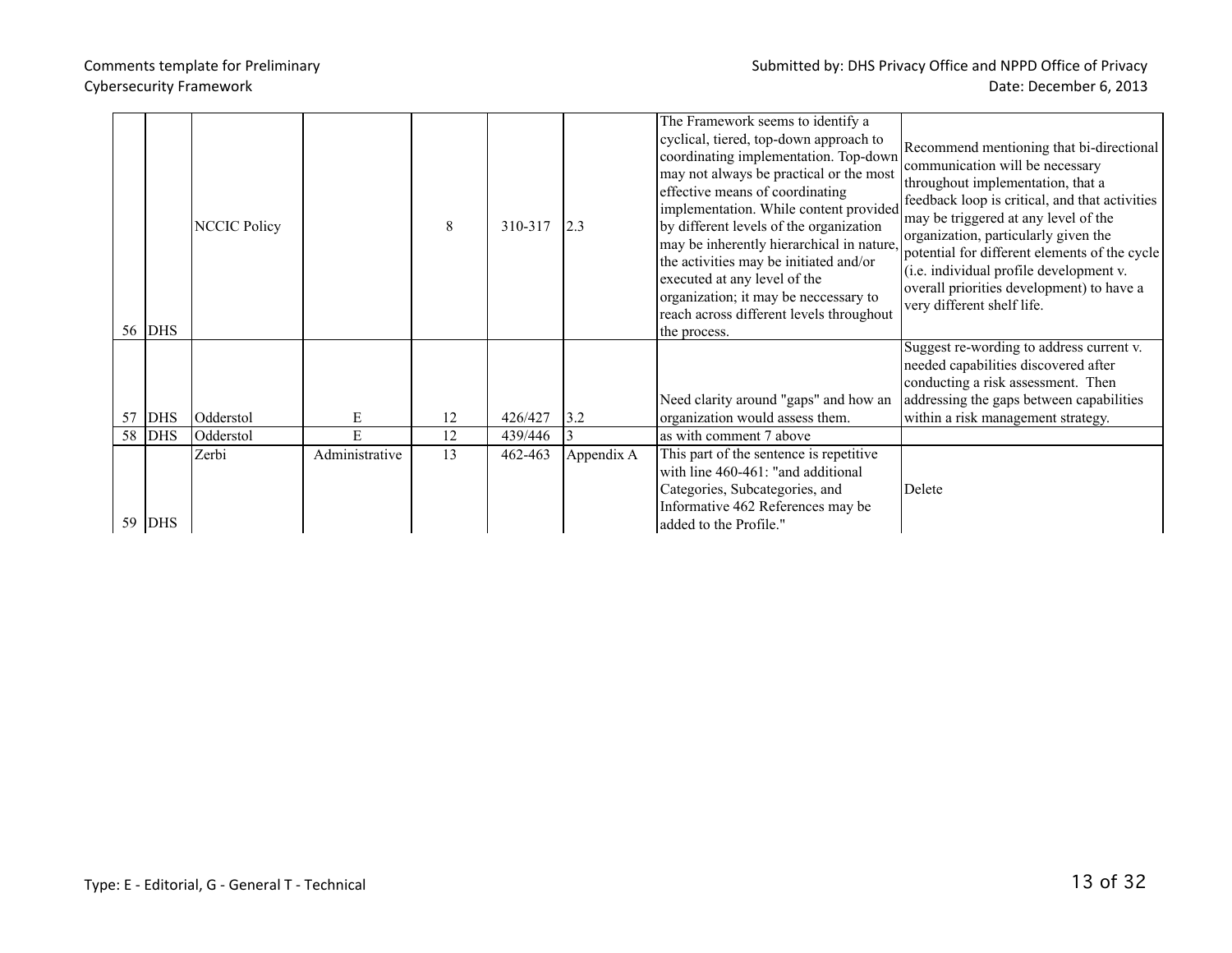| 56 | DHS        | <b>NCCIC Policy</b> |                | 8  | 310-317 | $\vert$ 2.3 | The Framework seems to identify a<br>cyclical, tiered, top-down approach to<br>coordinating implementation. Top-down<br>may not always be practical or the most<br>effective means of coordinating<br>implementation. While content provided<br>by different levels of the organization<br>may be inherently hierarchical in nature,<br>the activities may be initiated and/or<br>executed at any level of the<br>organization; it may be necessary to<br>reach across different levels throughout<br>the process. | Recommend mentioning that bi-directional<br>communication will be necessary<br>throughout implementation, that a<br>feedback loop is critical, and that activities<br>may be triggered at any level of the<br>organization, particularly given the<br>potential for different elements of the cycle<br>(i.e. individual profile development v.<br>overall priorities development) to have a<br>very different shelf life. |
|----|------------|---------------------|----------------|----|---------|-------------|--------------------------------------------------------------------------------------------------------------------------------------------------------------------------------------------------------------------------------------------------------------------------------------------------------------------------------------------------------------------------------------------------------------------------------------------------------------------------------------------------------------------|---------------------------------------------------------------------------------------------------------------------------------------------------------------------------------------------------------------------------------------------------------------------------------------------------------------------------------------------------------------------------------------------------------------------------|
| 57 | DHS        | Odderstol           | E              | 12 | 426/427 | 3.2         | Need clarity around "gaps" and how an<br>organization would assess them.                                                                                                                                                                                                                                                                                                                                                                                                                                           | Suggest re-wording to address current v.<br>needed capabilities discovered after<br>conducting a risk assessment. Then<br>addressing the gaps between capabilities<br>within a risk management strategy.                                                                                                                                                                                                                  |
| 58 | <b>DHS</b> | Odderstol           | E              | 12 | 439/446 |             | as with comment 7 above                                                                                                                                                                                                                                                                                                                                                                                                                                                                                            |                                                                                                                                                                                                                                                                                                                                                                                                                           |
|    | 59 DHS     | Zerbi               | Administrative | 13 | 462-463 | Appendix A  | This part of the sentence is repetitive<br>with line 460-461: "and additional<br>Categories, Subcategories, and<br>Informative 462 References may be<br>added to the Profile."                                                                                                                                                                                                                                                                                                                                     | Delete                                                                                                                                                                                                                                                                                                                                                                                                                    |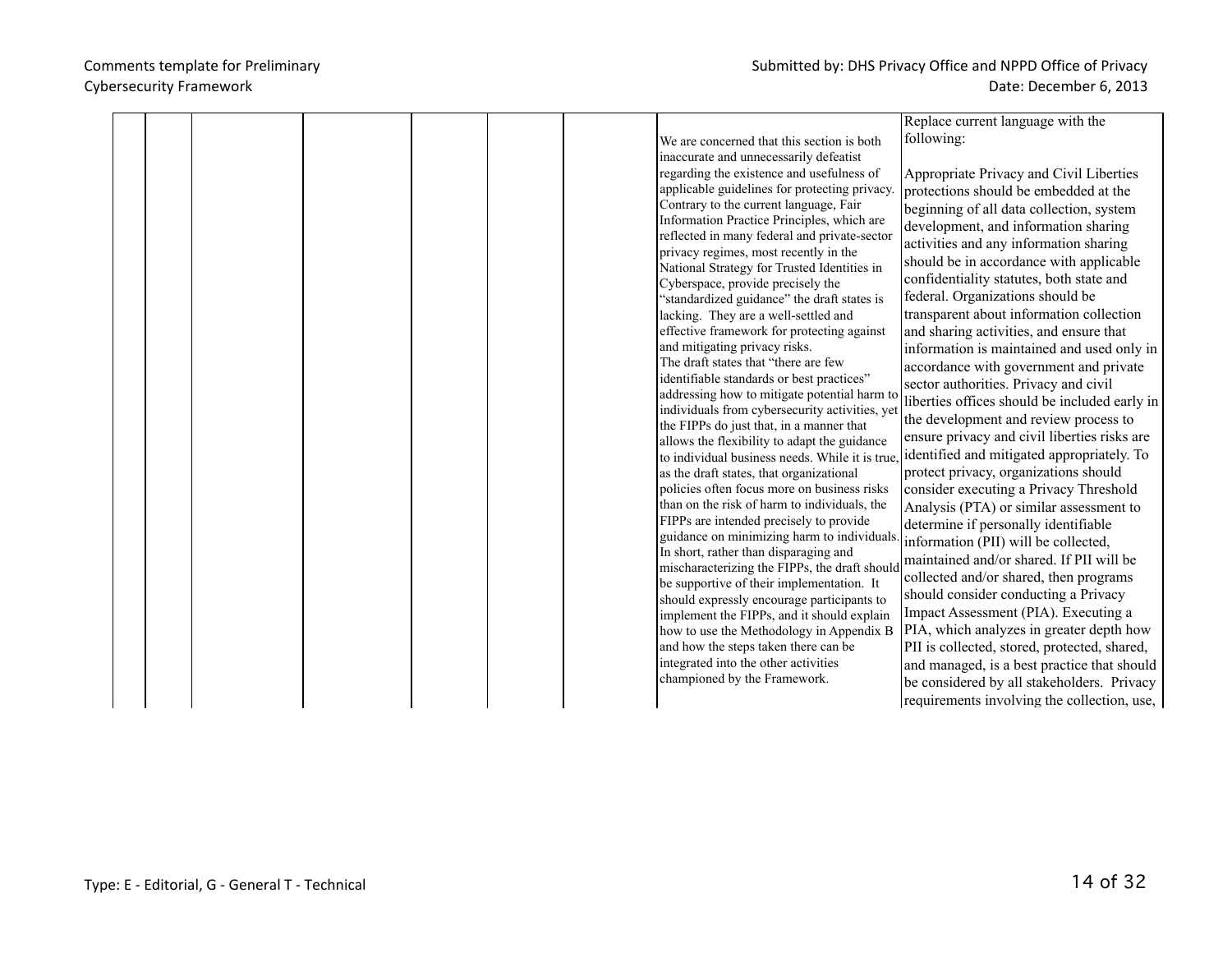|  |  |  |                                                                                                | Replace current language with the             |
|--|--|--|------------------------------------------------------------------------------------------------|-----------------------------------------------|
|  |  |  | We are concerned that this section is both                                                     | following:                                    |
|  |  |  | inaccurate and unnecessarily defeatist                                                         |                                               |
|  |  |  | regarding the existence and usefulness of                                                      | Appropriate Privacy and Civil Liberties       |
|  |  |  | applicable guidelines for protecting privacy.                                                  | protections should be embedded at the         |
|  |  |  | Contrary to the current language, Fair                                                         | beginning of all data collection, system      |
|  |  |  | Information Practice Principles, which are                                                     | development, and information sharing          |
|  |  |  | reflected in many federal and private-sector                                                   | activities and any information sharing        |
|  |  |  | privacy regimes, most recently in the                                                          |                                               |
|  |  |  | National Strategy for Trusted Identities in                                                    | should be in accordance with applicable       |
|  |  |  | Cyberspace, provide precisely the                                                              | confidentiality statutes, both state and      |
|  |  |  | "standardized guidance" the draft states is                                                    | federal. Organizations should be              |
|  |  |  | lacking. They are a well-settled and                                                           | transparent about information collection      |
|  |  |  | effective framework for protecting against                                                     | and sharing activities, and ensure that       |
|  |  |  | and mitigating privacy risks.                                                                  | information is maintained and used only in    |
|  |  |  | The draft states that "there are few                                                           | accordance with government and private        |
|  |  |  | identifiable standards or best practices"                                                      | sector authorities. Privacy and civil         |
|  |  |  | addressing how to mitigate potential harm to<br>individuals from cybersecurity activities, yet | liberties offices should be included early in |
|  |  |  | the FIPPs do just that, in a manner that                                                       | the development and review process to         |
|  |  |  | allows the flexibility to adapt the guidance                                                   | ensure privacy and civil liberties risks are  |
|  |  |  | to individual business needs. While it is true                                                 | identified and mitigated appropriately. To    |
|  |  |  | as the draft states, that organizational                                                       | protect privacy, organizations should         |
|  |  |  | policies often focus more on business risks                                                    | consider executing a Privacy Threshold        |
|  |  |  | than on the risk of harm to individuals, the                                                   | Analysis (PTA) or similar assessment to       |
|  |  |  | FIPPs are intended precisely to provide                                                        | determine if personally identifiable          |
|  |  |  | guidance on minimizing harm to individuals                                                     | information (PII) will be collected,          |
|  |  |  | In short, rather than disparaging and                                                          | maintained and/or shared. If PII will be      |
|  |  |  | mischaracterizing the FIPPs, the draft should                                                  |                                               |
|  |  |  | be supportive of their implementation. It                                                      | collected and/or shared, then programs        |
|  |  |  | should expressly encourage participants to                                                     | should consider conducting a Privacy          |
|  |  |  | implement the FIPPs, and it should explain                                                     | Impact Assessment (PIA). Executing a          |
|  |  |  | how to use the Methodology in Appendix B                                                       | PIA, which analyzes in greater depth how      |
|  |  |  | and how the steps taken there can be                                                           | PII is collected, stored, protected, shared,  |
|  |  |  | integrated into the other activities                                                           | and managed, is a best practice that should   |
|  |  |  | championed by the Framework.                                                                   | be considered by all stakeholders. Privacy    |
|  |  |  |                                                                                                | requirements involving the collection, use,   |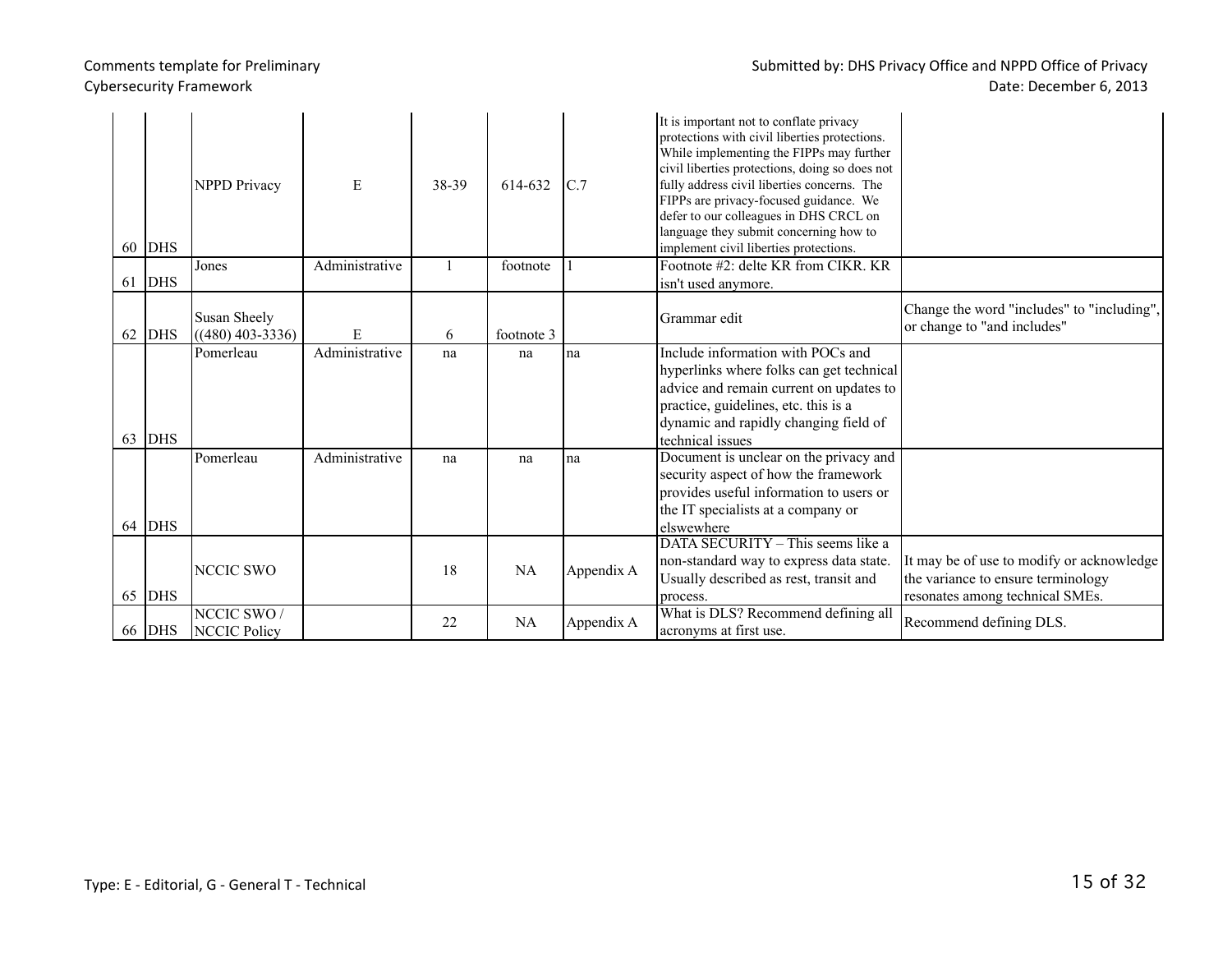### Comments template for Preliminary Submitted by: DHS Privacy Office and NPPD Office of Privacy Date: December 6, 2013

|    | 60 DHS     | NPPD Privacy                         | E              | 38-39 | 614-632    | C.7        | It is important not to conflate privacy<br>protections with civil liberties protections.<br>While implementing the FIPPs may further<br>civil liberties protections, doing so does not<br>fully address civil liberties concerns. The<br>FIPPs are privacy-focused guidance. We<br>defer to our colleagues in DHS CRCL on<br>language they submit concerning how to<br>implement civil liberties protections. |                                                                                                                    |
|----|------------|--------------------------------------|----------------|-------|------------|------------|---------------------------------------------------------------------------------------------------------------------------------------------------------------------------------------------------------------------------------------------------------------------------------------------------------------------------------------------------------------------------------------------------------------|--------------------------------------------------------------------------------------------------------------------|
|    |            | Jones                                | Administrative |       | footnote   |            | Footnote #2: delte KR from CIKR, KR                                                                                                                                                                                                                                                                                                                                                                           |                                                                                                                    |
|    | 61 DHS     |                                      |                |       |            |            | isn't used anymore.                                                                                                                                                                                                                                                                                                                                                                                           |                                                                                                                    |
| 62 | <b>DHS</b> | Susan Sheely<br>$((480) 403 - 3336)$ | E              | 6     | footnote 3 |            | Grammar edit                                                                                                                                                                                                                                                                                                                                                                                                  | Change the word "includes" to "including",<br>or change to "and includes"                                          |
|    |            | Pomerleau                            | Administrative | na    | na         | na         | Include information with POCs and<br>hyperlinks where folks can get technical<br>advice and remain current on updates to<br>practice, guidelines, etc. this is a<br>dynamic and rapidly changing field of                                                                                                                                                                                                     |                                                                                                                    |
| 63 | <b>DHS</b> |                                      |                |       |            |            | technical issues                                                                                                                                                                                                                                                                                                                                                                                              |                                                                                                                    |
| 64 | DHS        | Pomerleau                            | Administrative | na    | na         | na         | Document is unclear on the privacy and<br>security aspect of how the framework<br>provides useful information to users or<br>the IT specialists at a company or<br>elswewhere                                                                                                                                                                                                                                 |                                                                                                                    |
| 65 | <b>DHS</b> | <b>NCCIC SWO</b>                     |                | 18    | <b>NA</b>  | Appendix A | DATA SECURITY - This seems like a<br>non-standard way to express data state.<br>Usually described as rest, transit and<br>process.                                                                                                                                                                                                                                                                            | It may be of use to modify or acknowledge<br>the variance to ensure terminology<br>resonates among technical SMEs. |
|    | 66 DHS     | NCCIC SWO /<br><b>NCCIC Policy</b>   |                | 22    | <b>NA</b>  | Appendix A | What is DLS? Recommend defining all<br>acronyms at first use.                                                                                                                                                                                                                                                                                                                                                 | Recommend defining DLS.                                                                                            |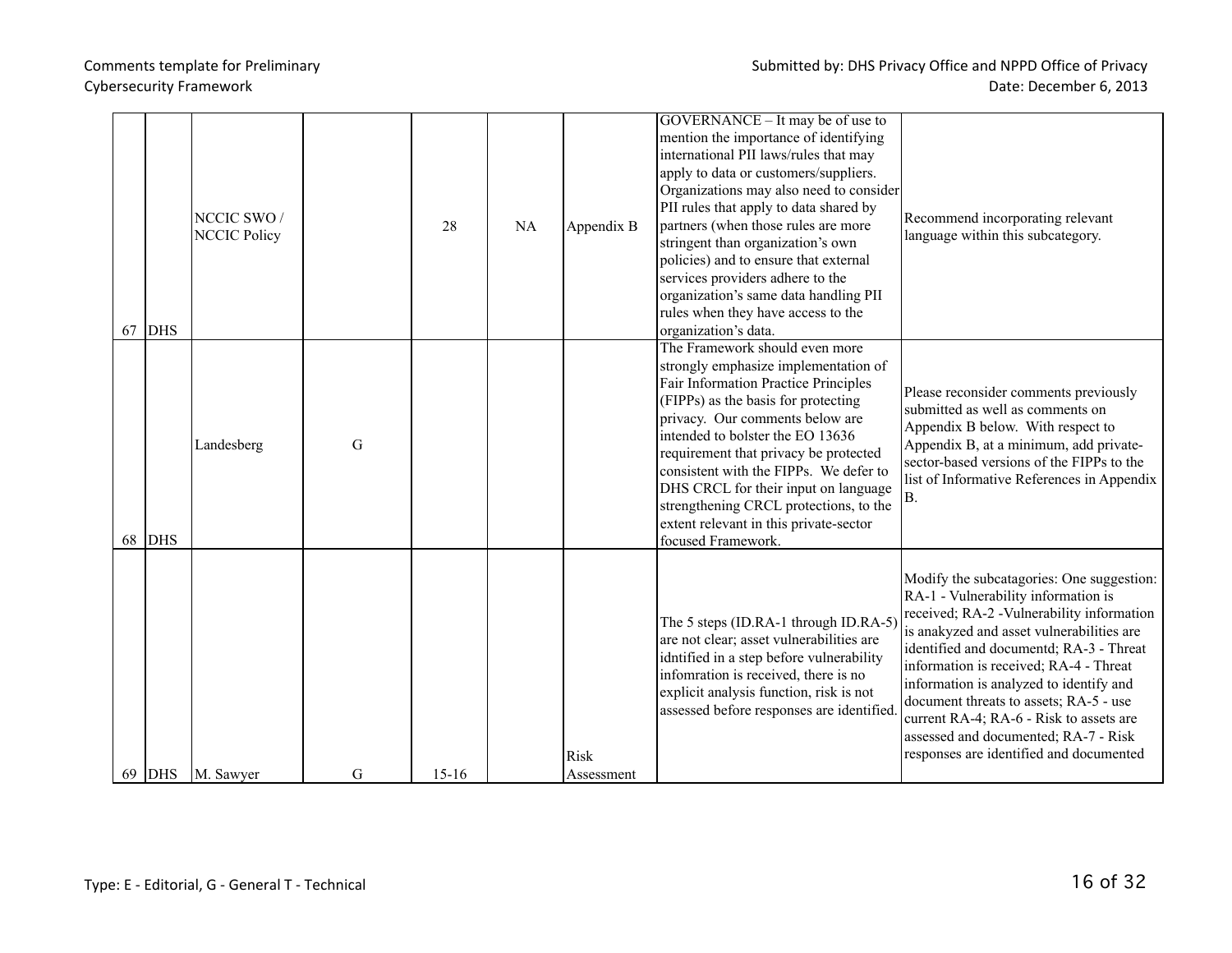| 67 | DHS      | NCCIC SWO /<br><b>NCCIC Policy</b> |   | 28        | <b>NA</b> | Appendix B         | GOVERNANCE – It may be of use to<br>mention the importance of identifying<br>international PII laws/rules that may<br>apply to data or customers/suppliers.<br>Organizations may also need to consider<br>PII rules that apply to data shared by<br>partners (when those rules are more<br>stringent than organization's own<br>policies) and to ensure that external<br>services providers adhere to the<br>organization's same data handling PII<br>rules when they have access to the<br>organization's data. | Recommend incorporating relevant<br>language within this subcategory.                                                                                                                                                                                                                                                                                                                                                                                                              |
|----|----------|------------------------------------|---|-----------|-----------|--------------------|------------------------------------------------------------------------------------------------------------------------------------------------------------------------------------------------------------------------------------------------------------------------------------------------------------------------------------------------------------------------------------------------------------------------------------------------------------------------------------------------------------------|------------------------------------------------------------------------------------------------------------------------------------------------------------------------------------------------------------------------------------------------------------------------------------------------------------------------------------------------------------------------------------------------------------------------------------------------------------------------------------|
| 68 | DHS      | Landesberg                         | G |           |           |                    | The Framework should even more<br>strongly emphasize implementation of<br>Fair Information Practice Principles<br>(FIPPs) as the basis for protecting<br>privacy. Our comments below are<br>intended to bolster the EO 13636<br>requirement that privacy be protected<br>consistent with the FIPPs. We defer to<br>DHS CRCL for their input on language<br>strengthening CRCL protections, to the<br>extent relevant in this private-sector<br>focused Framework.                                                | Please reconsider comments previously<br>submitted as well as comments on<br>Appendix B below. With respect to<br>Appendix B, at a minimum, add private-<br>sector-based versions of the FIPPs to the<br>list of Informative References in Appendix<br>B.                                                                                                                                                                                                                          |
|    | $69$ DHS | M. Sawyer                          | G | $15 - 16$ |           | Risk<br>Assessment | The 5 steps (ID.RA-1 through ID.RA-5)<br>are not clear; asset vulnerabilities are<br>idntified in a step before vulnerability<br>infomration is received, there is no<br>explicit analysis function, risk is not<br>assessed before responses are identified.                                                                                                                                                                                                                                                    | Modify the subcatagories: One suggestion:<br>RA-1 - Vulnerability information is<br>received; RA-2 -Vulnerability information<br>is anakyzed and asset vulnerabilities are<br>identified and documentd; RA-3 - Threat<br>information is received; RA-4 - Threat<br>information is analyzed to identify and<br>document threats to assets; RA-5 - use<br>current RA-4; RA-6 - Risk to assets are<br>assessed and documented; RA-7 - Risk<br>responses are identified and documented |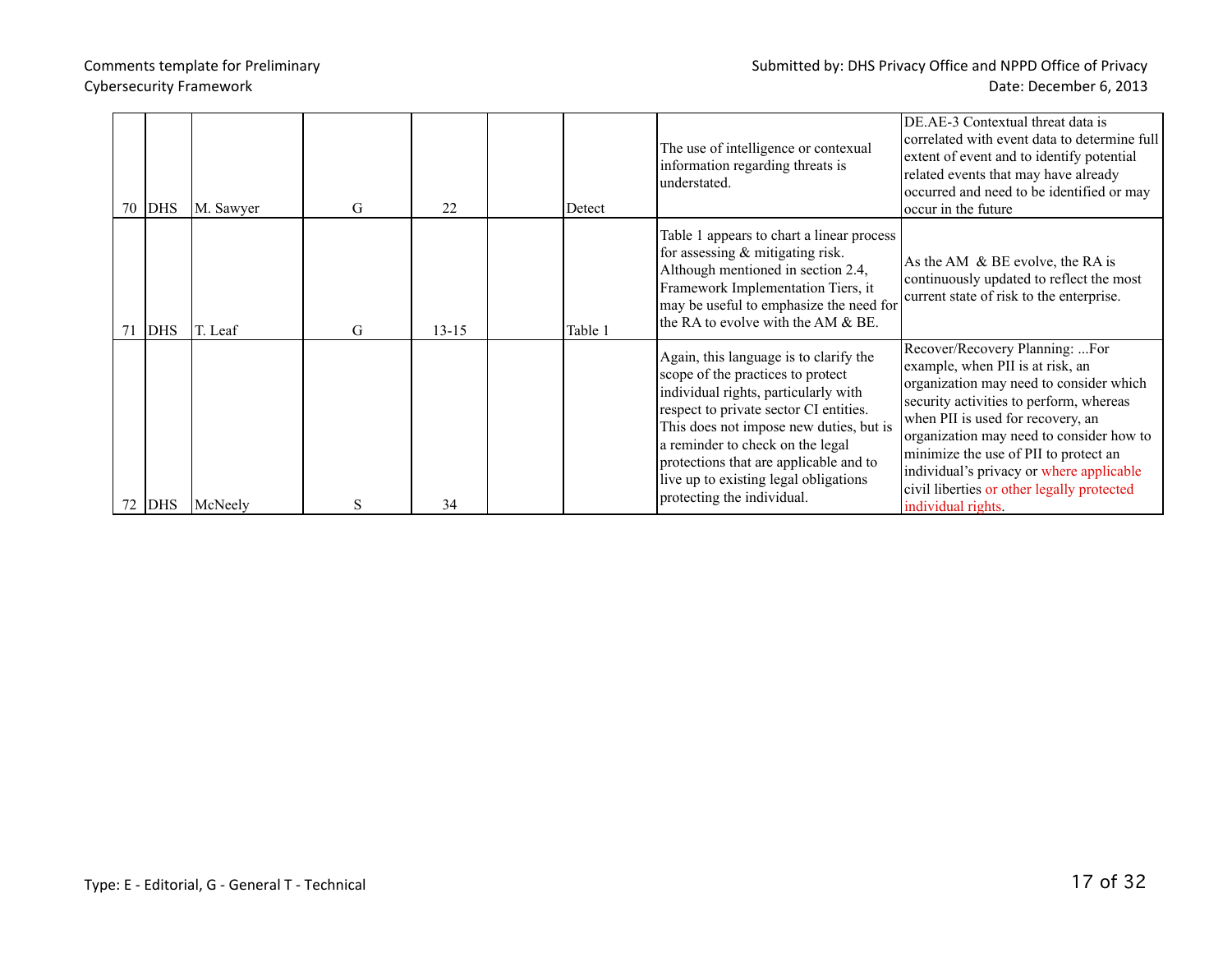| 70 | <b>DHS</b> | M. Sawyer | G | 22        | Detect  | The use of intelligence or contexual<br>information regarding threats is<br>lunderstated.                                                                                                                                                                                                                                                                     | DE.AE-3 Contextual threat data is<br>correlated with event data to determine full<br>extent of event and to identify potential<br>related events that may have already<br>occurred and need to be identified or may<br>occur in the future                                                                                                                                                         |
|----|------------|-----------|---|-----------|---------|---------------------------------------------------------------------------------------------------------------------------------------------------------------------------------------------------------------------------------------------------------------------------------------------------------------------------------------------------------------|----------------------------------------------------------------------------------------------------------------------------------------------------------------------------------------------------------------------------------------------------------------------------------------------------------------------------------------------------------------------------------------------------|
| 71 | DHS        | T. Leaf   | G | $13 - 15$ | Table 1 | Table 1 appears to chart a linear process<br>for assessing $&$ mitigating risk.<br>Although mentioned in section 2.4,<br>Framework Implementation Tiers, it<br>may be useful to emphasize the need for<br>the RA to evolve with the AM & BE.                                                                                                                  | As the AM $\&$ BE evolve, the RA is<br>continuously updated to reflect the most<br>current state of risk to the enterprise.                                                                                                                                                                                                                                                                        |
| 72 | <b>DHS</b> | McNeely   | S | 34        |         | Again, this language is to clarify the<br>scope of the practices to protect<br>individual rights, particularly with<br>respect to private sector CI entities.<br>This does not impose new duties, but is<br>a reminder to check on the legal<br>protections that are applicable and to<br>live up to existing legal obligations<br>protecting the individual. | Recover/Recovery Planning: For<br>example, when PII is at risk, an<br>organization may need to consider which<br>security activities to perform, whereas<br>when PII is used for recovery, an<br>organization may need to consider how to<br>minimize the use of PII to protect an<br>individual's privacy or where applicable<br>civil liberties or other legally protected<br>individual rights. |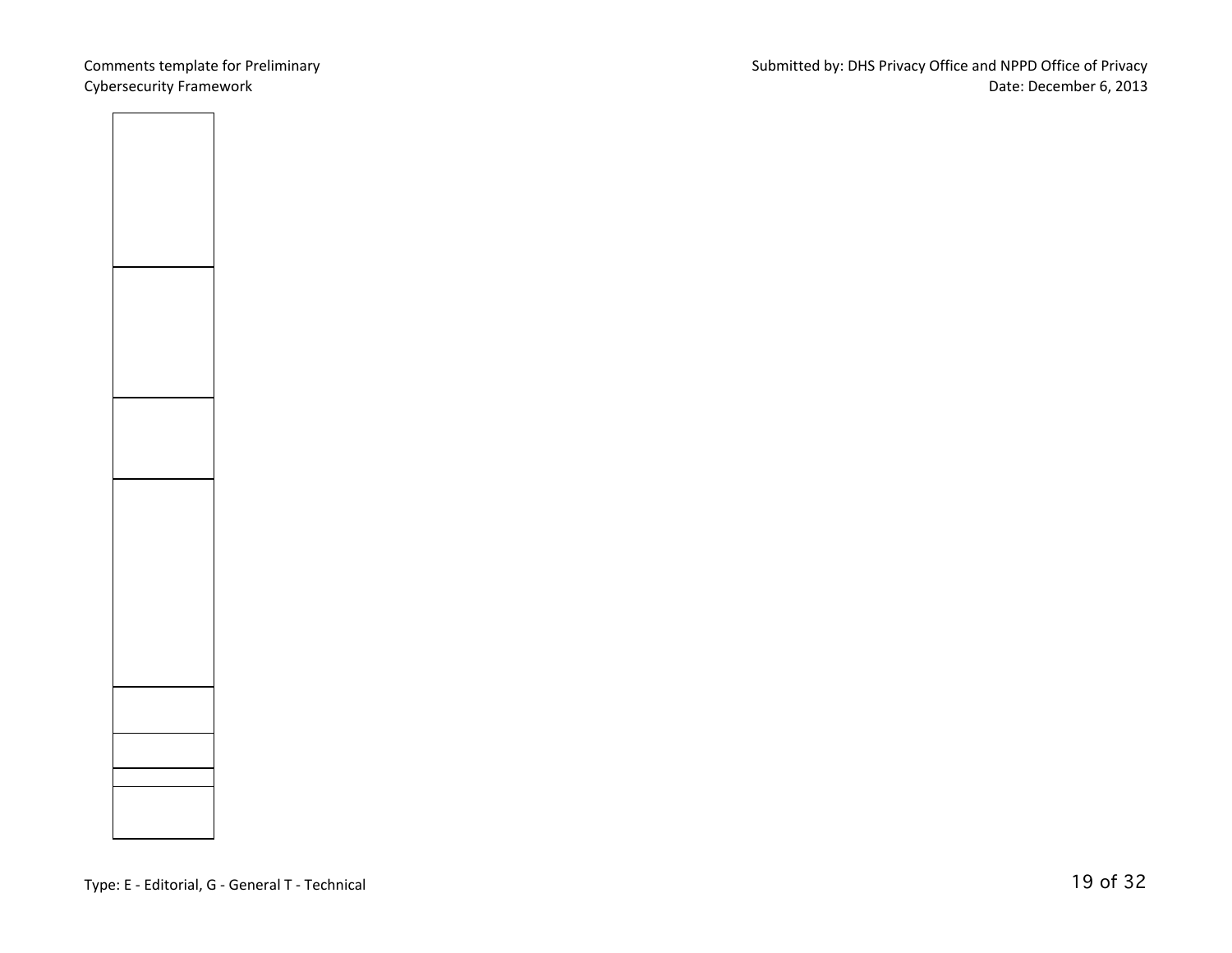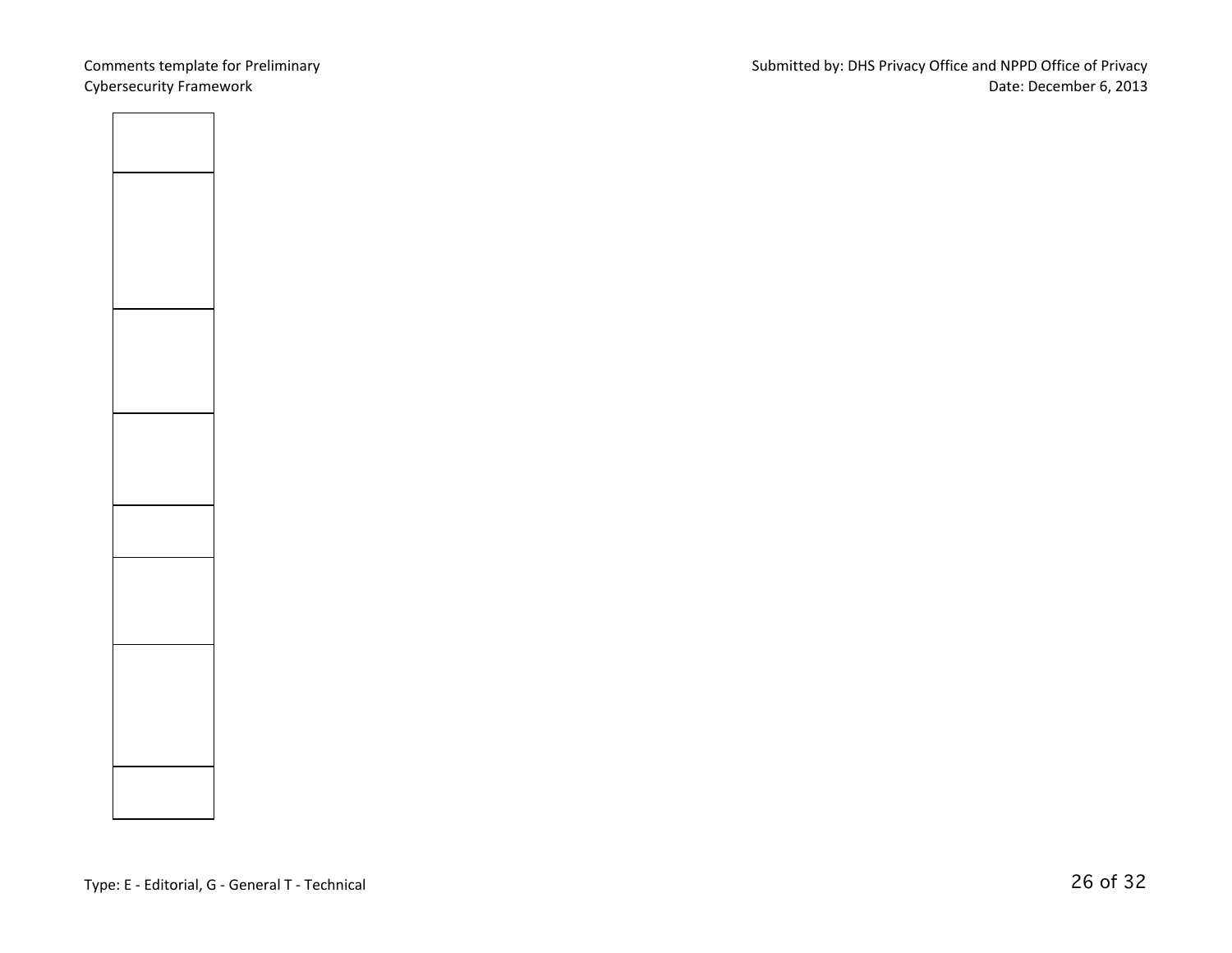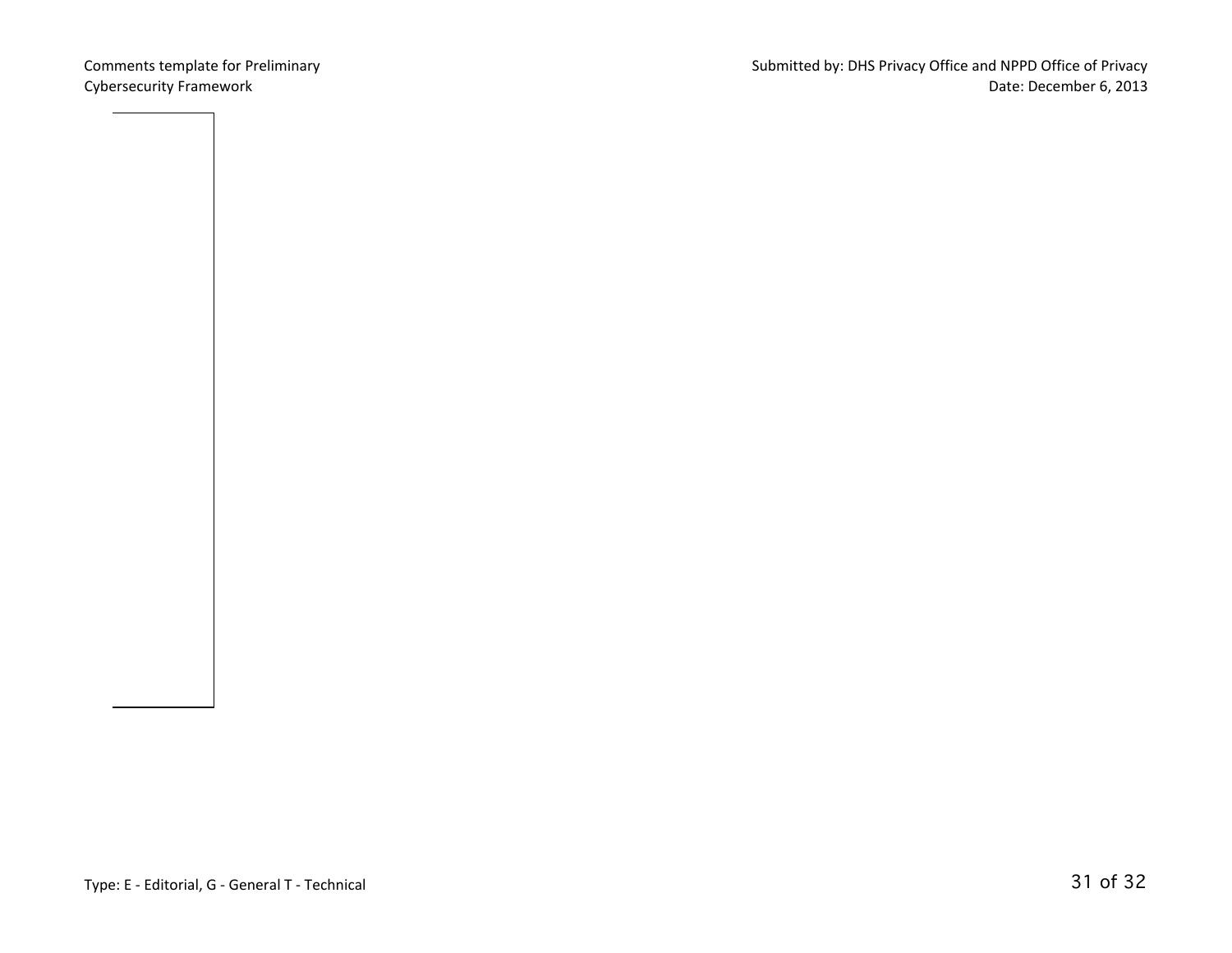Type: [E - Editorial, G - General T - Technical](#page-31-0)